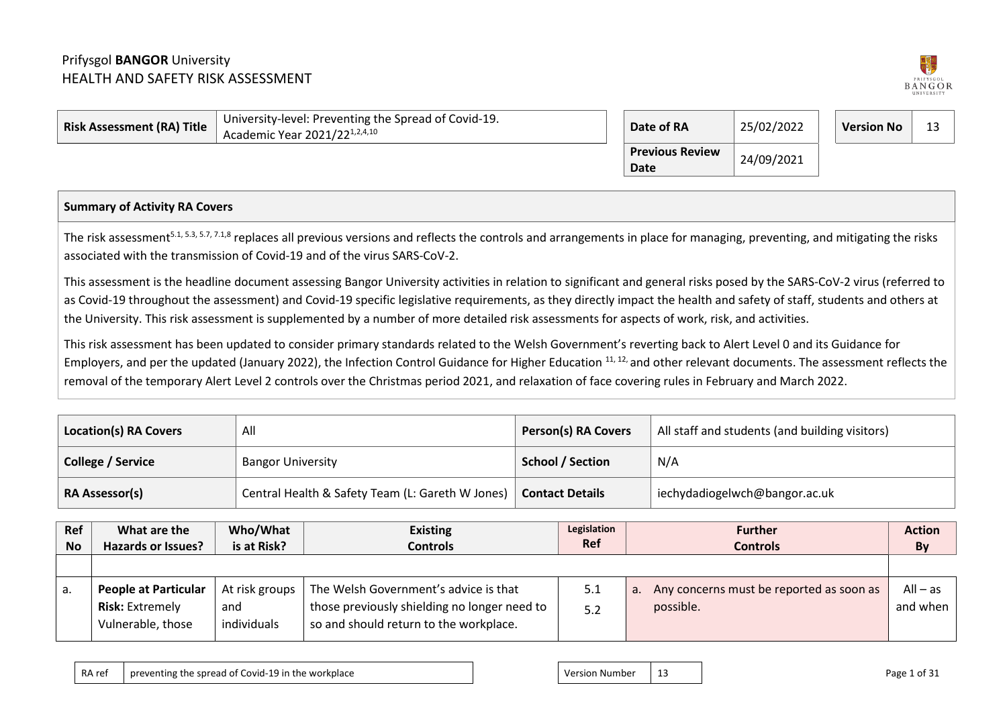## Prifysgol **BANGOR** University HEALTH AND SAFETY RISK ASSESSMENT



| $\,$ Risk Assessment (RA) Title $\,$ | University-level: Preventing the Spread of Covid-19.<br>Academic Year 2021/221,2,4,10 | Date of RA                     | 25/02/2022 |  |  | 12 |
|--------------------------------------|---------------------------------------------------------------------------------------|--------------------------------|------------|--|--|----|
|                                      |                                                                                       | <b>Previous Review</b><br>Date | 24/09/2021 |  |  |    |

## **Summary of Activity RA Covers**

The risk assessment<sup>5.1, 5.3, 5.7, 7.1,8</sup> replaces all previous versions and reflects the controls and arrangements in place for managing, preventing, and mitigating the risks associated with the transmission of Covid-19 and of the virus SARS-CoV-2.

This assessment is the headline document assessing Bangor University activities in relation to significant and general risks posed by the SARS-CoV-2 virus (referred to as Covid-19 throughout the assessment) and Covid-19 specific legislative requirements, as they directly impact the health and safety of staff, students and others at the University. This risk assessment is supplemented by a number of more detailed risk assessments for aspects of work, risk, and activities.

This risk assessment has been updated to consider primary standards related to the Welsh Government's reverting back to Alert Level 0 and its Guidance for Employers, and per the updated (January 2022), the Infection Control Guidance for Higher Education <sup>11, 12,</sup> and other relevant documents. The assessment reflects the removal of the temporary Alert Level 2 controls over the Christmas period 2021, and relaxation of face covering rules in February and March 2022.

| <b>Location(s) RA Covers</b> | All                                              | <b>Person(s) RA Covers</b> | All staff and students (and building visitors) |
|------------------------------|--------------------------------------------------|----------------------------|------------------------------------------------|
| College / Service            | <b>Bangor University</b>                         | <b>School / Section</b>    | N/A                                            |
| <b>RA Assessor(s)</b>        | Central Health & Safety Team (L: Gareth W Jones) | <b>Contact Details</b>     | iechydadiogelwch@bangor.ac.uk                  |

| Ref<br><b>No</b> | What are the<br><b>Hazards or Issues?</b>                                  | Who/What<br>is at Risk?                | <b>Existing</b><br><b>Controls</b>                                                                                              | Legislation<br><b>Ref</b> | <b>Further</b><br><b>Controls</b>                           | <b>Action</b><br>By    |
|------------------|----------------------------------------------------------------------------|----------------------------------------|---------------------------------------------------------------------------------------------------------------------------------|---------------------------|-------------------------------------------------------------|------------------------|
|                  |                                                                            |                                        |                                                                                                                                 |                           |                                                             |                        |
| a.               | <b>People at Particular</b><br><b>Risk: Extremely</b><br>Vulnerable, those | At risk groups  <br>and<br>individuals | The Welsh Government's advice is that<br>those previously shielding no longer need to<br>so and should return to the workplace. | 5.1<br>5.2                | Any concerns must be reported as soon as<br>a.<br>possible. | $All - as$<br>and when |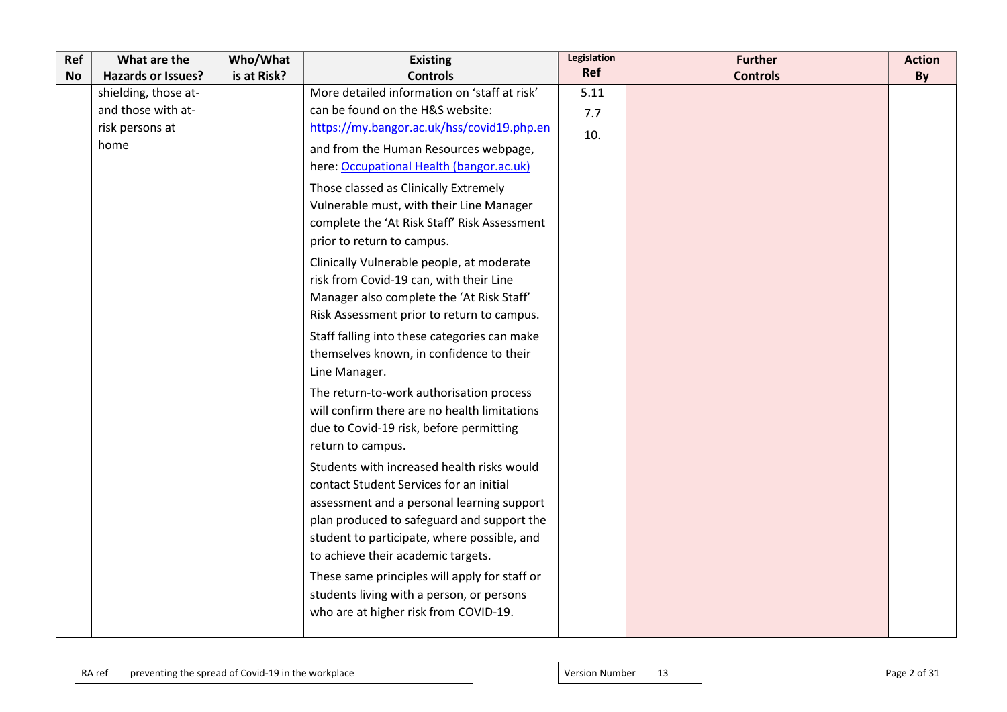| Ref       | What are the              | Who/What    | <b>Existing</b>                               | Legislation | <b>Further</b>  | <b>Action</b> |
|-----------|---------------------------|-------------|-----------------------------------------------|-------------|-----------------|---------------|
| <b>No</b> | <b>Hazards or Issues?</b> | is at Risk? | <b>Controls</b>                               | Ref         | <b>Controls</b> | By            |
|           | shielding, those at-      |             | More detailed information on 'staff at risk'  | 5.11        |                 |               |
|           | and those with at-        |             | can be found on the H&S website:              | 7.7         |                 |               |
|           | risk persons at           |             | https://my.bangor.ac.uk/hss/covid19.php.en    | 10.         |                 |               |
|           | home                      |             | and from the Human Resources webpage,         |             |                 |               |
|           |                           |             | here: Occupational Health (bangor.ac.uk)      |             |                 |               |
|           |                           |             | Those classed as Clinically Extremely         |             |                 |               |
|           |                           |             | Vulnerable must, with their Line Manager      |             |                 |               |
|           |                           |             | complete the 'At Risk Staff' Risk Assessment  |             |                 |               |
|           |                           |             | prior to return to campus.                    |             |                 |               |
|           |                           |             | Clinically Vulnerable people, at moderate     |             |                 |               |
|           |                           |             | risk from Covid-19 can, with their Line       |             |                 |               |
|           |                           |             | Manager also complete the 'At Risk Staff'     |             |                 |               |
|           |                           |             | Risk Assessment prior to return to campus.    |             |                 |               |
|           |                           |             | Staff falling into these categories can make  |             |                 |               |
|           |                           |             | themselves known, in confidence to their      |             |                 |               |
|           |                           |             | Line Manager.                                 |             |                 |               |
|           |                           |             | The return-to-work authorisation process      |             |                 |               |
|           |                           |             | will confirm there are no health limitations  |             |                 |               |
|           |                           |             | due to Covid-19 risk, before permitting       |             |                 |               |
|           |                           |             | return to campus.                             |             |                 |               |
|           |                           |             | Students with increased health risks would    |             |                 |               |
|           |                           |             | contact Student Services for an initial       |             |                 |               |
|           |                           |             | assessment and a personal learning support    |             |                 |               |
|           |                           |             | plan produced to safeguard and support the    |             |                 |               |
|           |                           |             | student to participate, where possible, and   |             |                 |               |
|           |                           |             | to achieve their academic targets.            |             |                 |               |
|           |                           |             | These same principles will apply for staff or |             |                 |               |
|           |                           |             | students living with a person, or persons     |             |                 |               |
|           |                           |             | who are at higher risk from COVID-19.         |             |                 |               |
|           |                           |             |                                               |             |                 |               |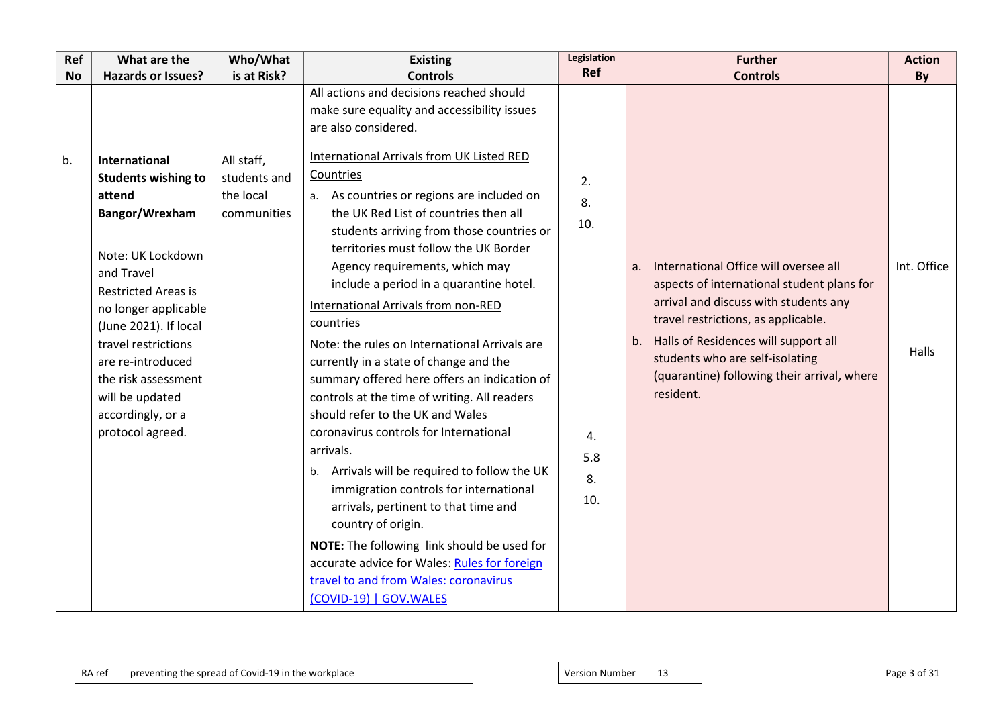| Ref       | What are the                                                                                                                | Who/What     | <b>Existing</b>                                                                                                                                                                                                                                                                                                                                                                                                                             | Legislation<br>Ref     | <b>Further</b>                                                                                                                         | <b>Action</b> |
|-----------|-----------------------------------------------------------------------------------------------------------------------------|--------------|---------------------------------------------------------------------------------------------------------------------------------------------------------------------------------------------------------------------------------------------------------------------------------------------------------------------------------------------------------------------------------------------------------------------------------------------|------------------------|----------------------------------------------------------------------------------------------------------------------------------------|---------------|
| <b>No</b> | <b>Hazards or Issues?</b>                                                                                                   | is at Risk?  | <b>Controls</b><br>All actions and decisions reached should                                                                                                                                                                                                                                                                                                                                                                                 |                        | <b>Controls</b>                                                                                                                        | By            |
|           |                                                                                                                             |              | make sure equality and accessibility issues<br>are also considered.                                                                                                                                                                                                                                                                                                                                                                         |                        |                                                                                                                                        |               |
|           |                                                                                                                             |              |                                                                                                                                                                                                                                                                                                                                                                                                                                             |                        |                                                                                                                                        |               |
| b.        | <b>International</b>                                                                                                        | All staff,   | International Arrivals from UK Listed RED                                                                                                                                                                                                                                                                                                                                                                                                   |                        |                                                                                                                                        |               |
|           | <b>Students wishing to</b>                                                                                                  | students and | Countries                                                                                                                                                                                                                                                                                                                                                                                                                                   | 2.                     |                                                                                                                                        |               |
|           | attend                                                                                                                      | the local    | a. As countries or regions are included on                                                                                                                                                                                                                                                                                                                                                                                                  | 8.                     |                                                                                                                                        |               |
|           | Bangor/Wrexham                                                                                                              | communities  | the UK Red List of countries then all<br>students arriving from those countries or                                                                                                                                                                                                                                                                                                                                                          | 10.                    |                                                                                                                                        |               |
|           | Note: UK Lockdown<br>and Travel<br><b>Restricted Areas is</b>                                                               |              | territories must follow the UK Border<br>Agency requirements, which may<br>include a period in a quarantine hotel.                                                                                                                                                                                                                                                                                                                          |                        | International Office will oversee all<br>a.<br>aspects of international student plans for<br>arrival and discuss with students any     | Int. Office   |
|           | no longer applicable<br>(June 2021). If local                                                                               |              | International Arrivals from non-RED<br>countries                                                                                                                                                                                                                                                                                                                                                                                            |                        | travel restrictions, as applicable.                                                                                                    |               |
|           | travel restrictions<br>are re-introduced<br>the risk assessment<br>will be updated<br>accordingly, or a<br>protocol agreed. |              | Note: the rules on International Arrivals are<br>currently in a state of change and the<br>summary offered here offers an indication of<br>controls at the time of writing. All readers<br>should refer to the UK and Wales<br>coronavirus controls for International<br>arrivals.<br>b. Arrivals will be required to follow the UK<br>immigration controls for international<br>arrivals, pertinent to that time and<br>country of origin. | 4.<br>5.8<br>8.<br>10. | b. Halls of Residences will support all<br>students who are self-isolating<br>(quarantine) following their arrival, where<br>resident. | Halls         |
|           |                                                                                                                             |              | NOTE: The following link should be used for<br>accurate advice for Wales: Rules for foreign<br>travel to and from Wales: coronavirus<br>(COVID-19)   GOV.WALES                                                                                                                                                                                                                                                                              |                        |                                                                                                                                        |               |
|           |                                                                                                                             |              |                                                                                                                                                                                                                                                                                                                                                                                                                                             |                        |                                                                                                                                        |               |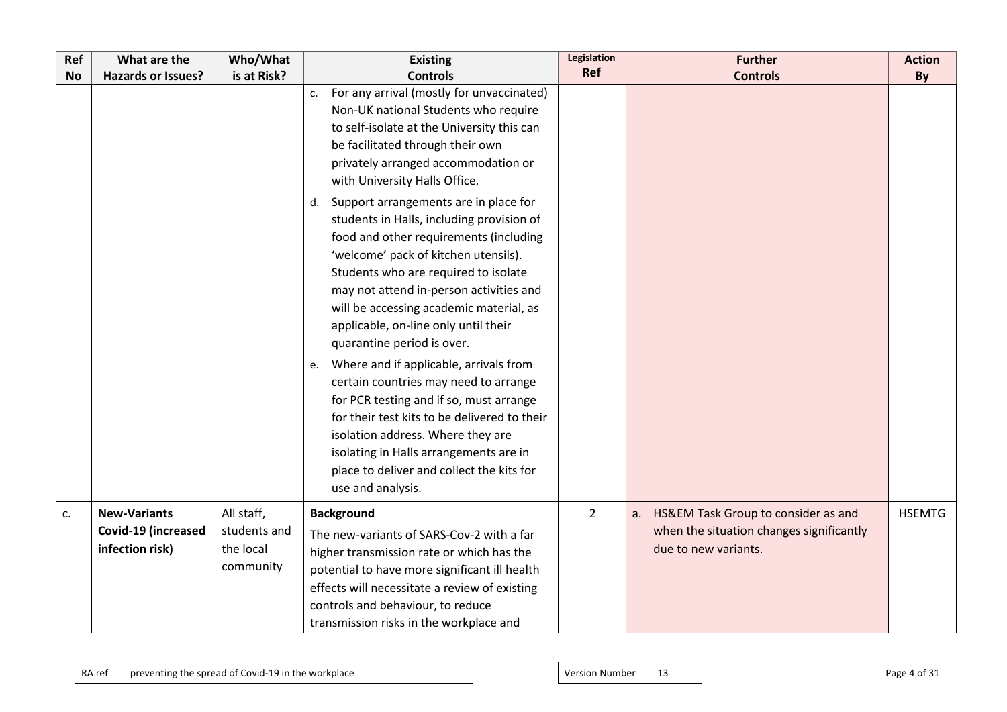| Ref       | What are the              | Who/What     | <b>Existing</b>                                                                                                                                                                                                                                                                                                                                                                                                                                                                                                                                                                                                                                                                                                                                                                                                                                                                                                                                                          | <b>Legislation</b> | <b>Further</b>                            | <b>Action</b> |
|-----------|---------------------------|--------------|--------------------------------------------------------------------------------------------------------------------------------------------------------------------------------------------------------------------------------------------------------------------------------------------------------------------------------------------------------------------------------------------------------------------------------------------------------------------------------------------------------------------------------------------------------------------------------------------------------------------------------------------------------------------------------------------------------------------------------------------------------------------------------------------------------------------------------------------------------------------------------------------------------------------------------------------------------------------------|--------------------|-------------------------------------------|---------------|
| <b>No</b> | <b>Hazards or Issues?</b> | is at Risk?  | <b>Controls</b>                                                                                                                                                                                                                                                                                                                                                                                                                                                                                                                                                                                                                                                                                                                                                                                                                                                                                                                                                          | Ref                | <b>Controls</b>                           | By            |
|           |                           |              | For any arrival (mostly for unvaccinated)<br>c.<br>Non-UK national Students who require<br>to self-isolate at the University this can<br>be facilitated through their own<br>privately arranged accommodation or<br>with University Halls Office.<br>Support arrangements are in place for<br>d.<br>students in Halls, including provision of<br>food and other requirements (including<br>'welcome' pack of kitchen utensils).<br>Students who are required to isolate<br>may not attend in-person activities and<br>will be accessing academic material, as<br>applicable, on-line only until their<br>quarantine period is over.<br>Where and if applicable, arrivals from<br>e.<br>certain countries may need to arrange<br>for PCR testing and if so, must arrange<br>for their test kits to be delivered to their<br>isolation address. Where they are<br>isolating in Halls arrangements are in<br>place to deliver and collect the kits for<br>use and analysis. |                    |                                           |               |
| c.        | <b>New-Variants</b>       | All staff,   | <b>Background</b>                                                                                                                                                                                                                                                                                                                                                                                                                                                                                                                                                                                                                                                                                                                                                                                                                                                                                                                                                        | $\overline{2}$     | HS&EM Task Group to consider as and<br>a. | <b>HSEMTG</b> |
|           | Covid-19 (increased       | students and | The new-variants of SARS-Cov-2 with a far                                                                                                                                                                                                                                                                                                                                                                                                                                                                                                                                                                                                                                                                                                                                                                                                                                                                                                                                |                    | when the situation changes significantly  |               |
|           | infection risk)           | the local    | higher transmission rate or which has the                                                                                                                                                                                                                                                                                                                                                                                                                                                                                                                                                                                                                                                                                                                                                                                                                                                                                                                                |                    | due to new variants.                      |               |
|           |                           | community    | potential to have more significant ill health                                                                                                                                                                                                                                                                                                                                                                                                                                                                                                                                                                                                                                                                                                                                                                                                                                                                                                                            |                    |                                           |               |
|           |                           |              | effects will necessitate a review of existing                                                                                                                                                                                                                                                                                                                                                                                                                                                                                                                                                                                                                                                                                                                                                                                                                                                                                                                            |                    |                                           |               |
|           |                           |              | controls and behaviour, to reduce                                                                                                                                                                                                                                                                                                                                                                                                                                                                                                                                                                                                                                                                                                                                                                                                                                                                                                                                        |                    |                                           |               |
|           |                           |              | transmission risks in the workplace and                                                                                                                                                                                                                                                                                                                                                                                                                                                                                                                                                                                                                                                                                                                                                                                                                                                                                                                                  |                    |                                           |               |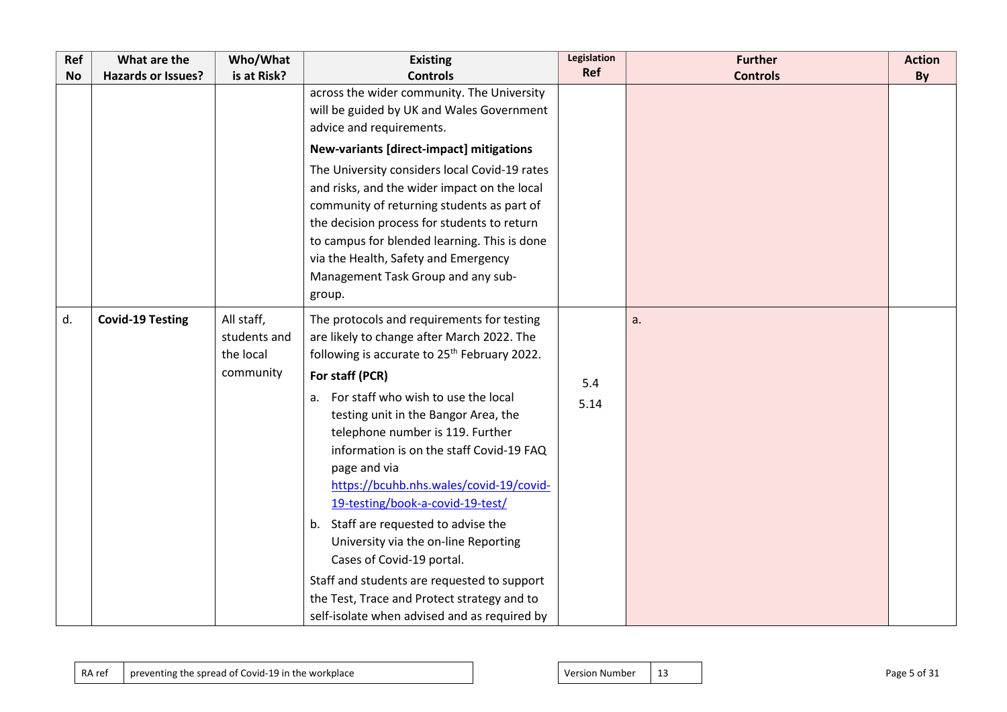| Ref       | What are the              | Who/What                                             | <b>Existing</b>                                                                                                                                                                                                                                                                                                                                                                                                                                                                                                       | Legislation | <b>Further</b>  | <b>Action</b> |
|-----------|---------------------------|------------------------------------------------------|-----------------------------------------------------------------------------------------------------------------------------------------------------------------------------------------------------------------------------------------------------------------------------------------------------------------------------------------------------------------------------------------------------------------------------------------------------------------------------------------------------------------------|-------------|-----------------|---------------|
| <b>No</b> | <b>Hazards or Issues?</b> | is at Risk?                                          | <b>Controls</b>                                                                                                                                                                                                                                                                                                                                                                                                                                                                                                       | Ref         | <b>Controls</b> | By            |
|           |                           |                                                      | across the wider community. The University<br>will be guided by UK and Wales Government<br>advice and requirements.                                                                                                                                                                                                                                                                                                                                                                                                   |             |                 |               |
|           |                           |                                                      | New-variants [direct-impact] mitigations                                                                                                                                                                                                                                                                                                                                                                                                                                                                              |             |                 |               |
|           |                           |                                                      | The University considers local Covid-19 rates<br>and risks, and the wider impact on the local<br>community of returning students as part of<br>the decision process for students to return<br>to campus for blended learning. This is done<br>via the Health, Safety and Emergency<br>Management Task Group and any sub-<br>group.                                                                                                                                                                                    |             |                 |               |
| d.        | <b>Covid-19 Testing</b>   | All staff,<br>students and<br>the local<br>community | The protocols and requirements for testing<br>are likely to change after March 2022. The<br>following is accurate to 25 <sup>th</sup> February 2022.<br>For staff (PCR)                                                                                                                                                                                                                                                                                                                                               |             | a.              |               |
|           |                           |                                                      | For staff who wish to use the local<br>testing unit in the Bangor Area, the<br>telephone number is 119. Further<br>information is on the staff Covid-19 FAQ<br>page and via<br>https://bcuhb.nhs.wales/covid-19/covid-<br>19-testing/book-a-covid-19-test/<br>b. Staff are requested to advise the<br>University via the on-line Reporting<br>Cases of Covid-19 portal.<br>Staff and students are requested to support<br>the Test, Trace and Protect strategy and to<br>self-isolate when advised and as required by | 5.4<br>5.14 |                 |               |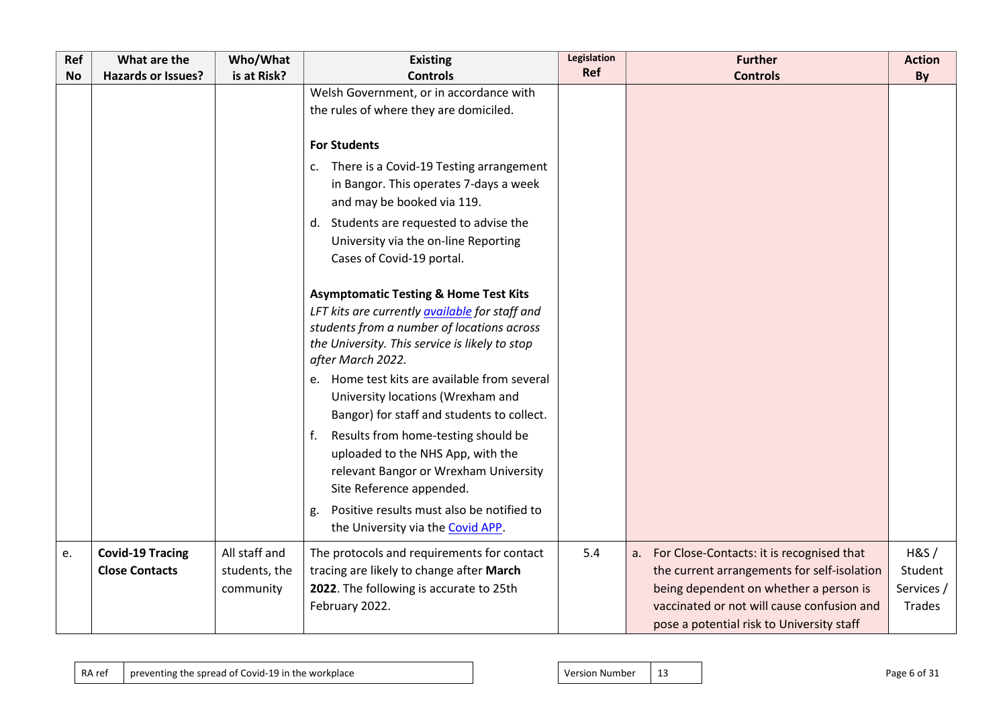| Ref       | What are the                                     | Who/What                                    | <b>Existing</b>                                                                                                                                                                                                                | Legislation | <b>Further</b>                                                                                                                                                                                                                   | <b>Action</b>                           |
|-----------|--------------------------------------------------|---------------------------------------------|--------------------------------------------------------------------------------------------------------------------------------------------------------------------------------------------------------------------------------|-------------|----------------------------------------------------------------------------------------------------------------------------------------------------------------------------------------------------------------------------------|-----------------------------------------|
| <b>No</b> | <b>Hazards or Issues?</b>                        | is at Risk?                                 | <b>Controls</b>                                                                                                                                                                                                                | Ref         | <b>Controls</b>                                                                                                                                                                                                                  | By                                      |
|           |                                                  |                                             | Welsh Government, or in accordance with<br>the rules of where they are domiciled.                                                                                                                                              |             |                                                                                                                                                                                                                                  |                                         |
|           |                                                  |                                             | <b>For Students</b><br>There is a Covid-19 Testing arrangement                                                                                                                                                                 |             |                                                                                                                                                                                                                                  |                                         |
|           |                                                  |                                             | c.<br>in Bangor. This operates 7-days a week<br>and may be booked via 119.                                                                                                                                                     |             |                                                                                                                                                                                                                                  |                                         |
|           |                                                  |                                             | d. Students are requested to advise the<br>University via the on-line Reporting<br>Cases of Covid-19 portal.                                                                                                                   |             |                                                                                                                                                                                                                                  |                                         |
|           |                                                  |                                             | <b>Asymptomatic Testing &amp; Home Test Kits</b><br>LFT kits are currently <b>available</b> for staff and<br>students from a number of locations across<br>the University. This service is likely to stop<br>after March 2022. |             |                                                                                                                                                                                                                                  |                                         |
|           |                                                  |                                             | Home test kits are available from several<br>e.<br>University locations (Wrexham and<br>Bangor) for staff and students to collect.                                                                                             |             |                                                                                                                                                                                                                                  |                                         |
|           |                                                  |                                             | Results from home-testing should be<br>f.<br>uploaded to the NHS App, with the<br>relevant Bangor or Wrexham University<br>Site Reference appended.                                                                            |             |                                                                                                                                                                                                                                  |                                         |
|           |                                                  |                                             | Positive results must also be notified to<br>g.<br>the University via the Covid APP.                                                                                                                                           |             |                                                                                                                                                                                                                                  |                                         |
| e.        | <b>Covid-19 Tracing</b><br><b>Close Contacts</b> | All staff and<br>students, the<br>community | The protocols and requirements for contact<br>tracing are likely to change after March<br>2022. The following is accurate to 25th<br>February 2022.                                                                            | 5.4         | a. For Close-Contacts: it is recognised that<br>the current arrangements for self-isolation<br>being dependent on whether a person is<br>vaccinated or not will cause confusion and<br>pose a potential risk to University staff | H&S/<br>Student<br>Services /<br>Trades |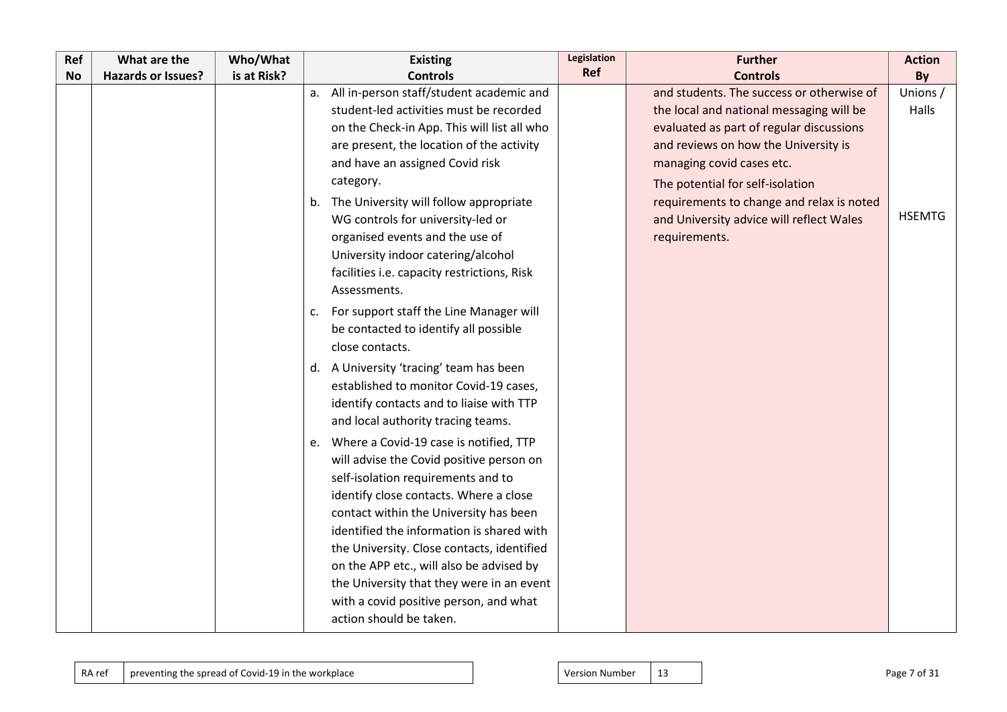| Ref | What are the              | Who/What    | <b>Existing</b>                                                                                                                                                                                                                                                                                                                                                                                                                                                                                                | Legislation | <b>Further</b>                                                                                                                                                                                                                                                                                                                                       | <b>Action</b>                      |
|-----|---------------------------|-------------|----------------------------------------------------------------------------------------------------------------------------------------------------------------------------------------------------------------------------------------------------------------------------------------------------------------------------------------------------------------------------------------------------------------------------------------------------------------------------------------------------------------|-------------|------------------------------------------------------------------------------------------------------------------------------------------------------------------------------------------------------------------------------------------------------------------------------------------------------------------------------------------------------|------------------------------------|
| No  | <b>Hazards or Issues?</b> | is at Risk? | <b>Controls</b>                                                                                                                                                                                                                                                                                                                                                                                                                                                                                                | Ref         | <b>Controls</b>                                                                                                                                                                                                                                                                                                                                      | By                                 |
|     |                           |             | a. All in-person staff/student academic and<br>student-led activities must be recorded<br>on the Check-in App. This will list all who<br>are present, the location of the activity<br>and have an assigned Covid risk<br>category.<br>b. The University will follow appropriate<br>WG controls for university-led or<br>organised events and the use of<br>University indoor catering/alcohol<br>facilities i.e. capacity restrictions, Risk                                                                   |             | and students. The success or otherwise of<br>the local and national messaging will be<br>evaluated as part of regular discussions<br>and reviews on how the University is<br>managing covid cases etc.<br>The potential for self-isolation<br>requirements to change and relax is noted<br>and University advice will reflect Wales<br>requirements. | Unions /<br>Halls<br><b>HSEMTG</b> |
|     |                           |             | Assessments.<br>For support staff the Line Manager will<br>c.<br>be contacted to identify all possible<br>close contacts.<br>d. A University 'tracing' team has been<br>established to monitor Covid-19 cases,<br>identify contacts and to liaise with TTP                                                                                                                                                                                                                                                     |             |                                                                                                                                                                                                                                                                                                                                                      |                                    |
|     |                           |             | and local authority tracing teams.<br>e. Where a Covid-19 case is notified, TTP<br>will advise the Covid positive person on<br>self-isolation requirements and to<br>identify close contacts. Where a close<br>contact within the University has been<br>identified the information is shared with<br>the University. Close contacts, identified<br>on the APP etc., will also be advised by<br>the University that they were in an event<br>with a covid positive person, and what<br>action should be taken. |             |                                                                                                                                                                                                                                                                                                                                                      |                                    |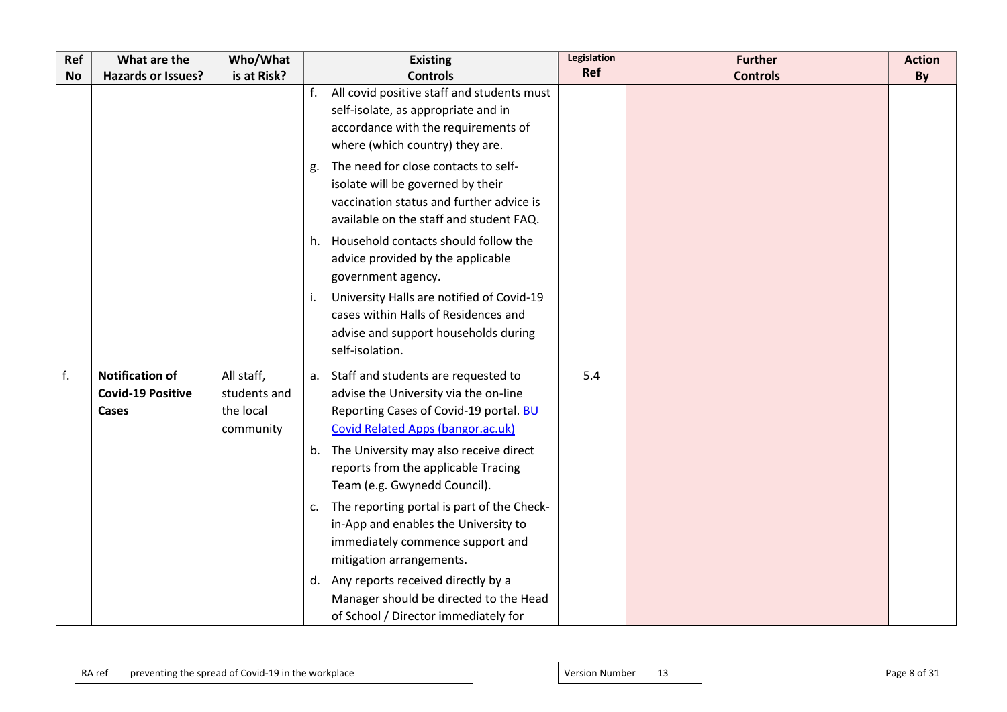| Ref       | What are the                                                | Who/What                                             | <b>Existing</b>                                                                                                                                                                                                                                                                                                                                                                                                                                                                                                                                                                                         | <b>Legislation</b> | <b>Further</b>  | <b>Action</b> |
|-----------|-------------------------------------------------------------|------------------------------------------------------|---------------------------------------------------------------------------------------------------------------------------------------------------------------------------------------------------------------------------------------------------------------------------------------------------------------------------------------------------------------------------------------------------------------------------------------------------------------------------------------------------------------------------------------------------------------------------------------------------------|--------------------|-----------------|---------------|
| <b>No</b> | <b>Hazards or Issues?</b>                                   | is at Risk?                                          | <b>Controls</b>                                                                                                                                                                                                                                                                                                                                                                                                                                                                                                                                                                                         | Ref                | <b>Controls</b> | By            |
|           |                                                             |                                                      | All covid positive staff and students must<br>f.<br>self-isolate, as appropriate and in<br>accordance with the requirements of<br>where (which country) they are.<br>The need for close contacts to self-<br>g.<br>isolate will be governed by their<br>vaccination status and further advice is<br>available on the staff and student FAQ.<br>h. Household contacts should follow the<br>advice provided by the applicable<br>government agency.<br>University Halls are notified of Covid-19<br>i.<br>cases within Halls of Residences and<br>advise and support households during<br>self-isolation. |                    |                 |               |
| f.        | <b>Notification of</b><br><b>Covid-19 Positive</b><br>Cases | All staff,<br>students and<br>the local<br>community | a. Staff and students are requested to<br>advise the University via the on-line<br>Reporting Cases of Covid-19 portal. BU<br>Covid Related Apps (bangor.ac.uk)<br>b. The University may also receive direct<br>reports from the applicable Tracing<br>Team (e.g. Gwynedd Council).<br>The reporting portal is part of the Check-<br>C.<br>in-App and enables the University to<br>immediately commence support and<br>mitigation arrangements.<br>Any reports received directly by a<br>d.<br>Manager should be directed to the Head<br>of School / Director immediately for                            | 5.4                |                 |               |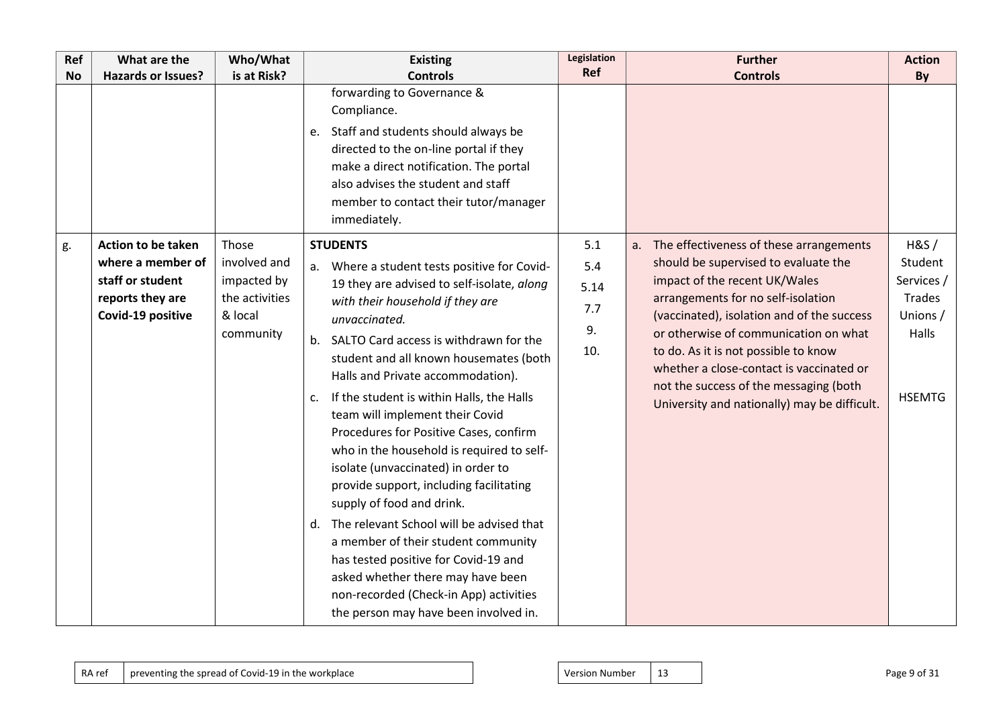| Ref<br><b>No</b> | What are the<br><b>Hazards or Issues?</b>                                                                   | Who/What<br>is at Risk?                                                        | <b>Existing</b><br><b>Controls</b>                                                                                                                                                                                                                                                                                                                                                                                                                                                                                                                                                                                                                                                                                                                                                                                                                    | Legislation<br>Ref                     | <b>Further</b><br><b>Controls</b>                                                                                                                                                                                                                                                                                                                                                                                              | <b>Action</b><br>By                                                                  |
|------------------|-------------------------------------------------------------------------------------------------------------|--------------------------------------------------------------------------------|-------------------------------------------------------------------------------------------------------------------------------------------------------------------------------------------------------------------------------------------------------------------------------------------------------------------------------------------------------------------------------------------------------------------------------------------------------------------------------------------------------------------------------------------------------------------------------------------------------------------------------------------------------------------------------------------------------------------------------------------------------------------------------------------------------------------------------------------------------|----------------------------------------|--------------------------------------------------------------------------------------------------------------------------------------------------------------------------------------------------------------------------------------------------------------------------------------------------------------------------------------------------------------------------------------------------------------------------------|--------------------------------------------------------------------------------------|
|                  |                                                                                                             |                                                                                | forwarding to Governance &<br>Compliance.<br>e. Staff and students should always be<br>directed to the on-line portal if they<br>make a direct notification. The portal<br>also advises the student and staff<br>member to contact their tutor/manager<br>immediately.                                                                                                                                                                                                                                                                                                                                                                                                                                                                                                                                                                                |                                        |                                                                                                                                                                                                                                                                                                                                                                                                                                |                                                                                      |
| g.               | <b>Action to be taken</b><br>where a member of<br>staff or student<br>reports they are<br>Covid-19 positive | Those<br>involved and<br>impacted by<br>the activities<br>& local<br>community | <b>STUDENTS</b><br>a. Where a student tests positive for Covid-<br>19 they are advised to self-isolate, along<br>with their household if they are<br>unvaccinated.<br>SALTO Card access is withdrawn for the<br>b.<br>student and all known housemates (both<br>Halls and Private accommodation).<br>If the student is within Halls, the Halls<br>c.<br>team will implement their Covid<br>Procedures for Positive Cases, confirm<br>who in the household is required to self-<br>isolate (unvaccinated) in order to<br>provide support, including facilitating<br>supply of food and drink.<br>The relevant School will be advised that<br>d.<br>a member of their student community<br>has tested positive for Covid-19 and<br>asked whether there may have been<br>non-recorded (Check-in App) activities<br>the person may have been involved in. | 5.1<br>5.4<br>5.14<br>7.7<br>9.<br>10. | a. The effectiveness of these arrangements<br>should be supervised to evaluate the<br>impact of the recent UK/Wales<br>arrangements for no self-isolation<br>(vaccinated), isolation and of the success<br>or otherwise of communication on what<br>to do. As it is not possible to know<br>whether a close-contact is vaccinated or<br>not the success of the messaging (both<br>University and nationally) may be difficult. | H&S/<br>Student<br>Services /<br><b>Trades</b><br>Unions /<br>Halls<br><b>HSEMTG</b> |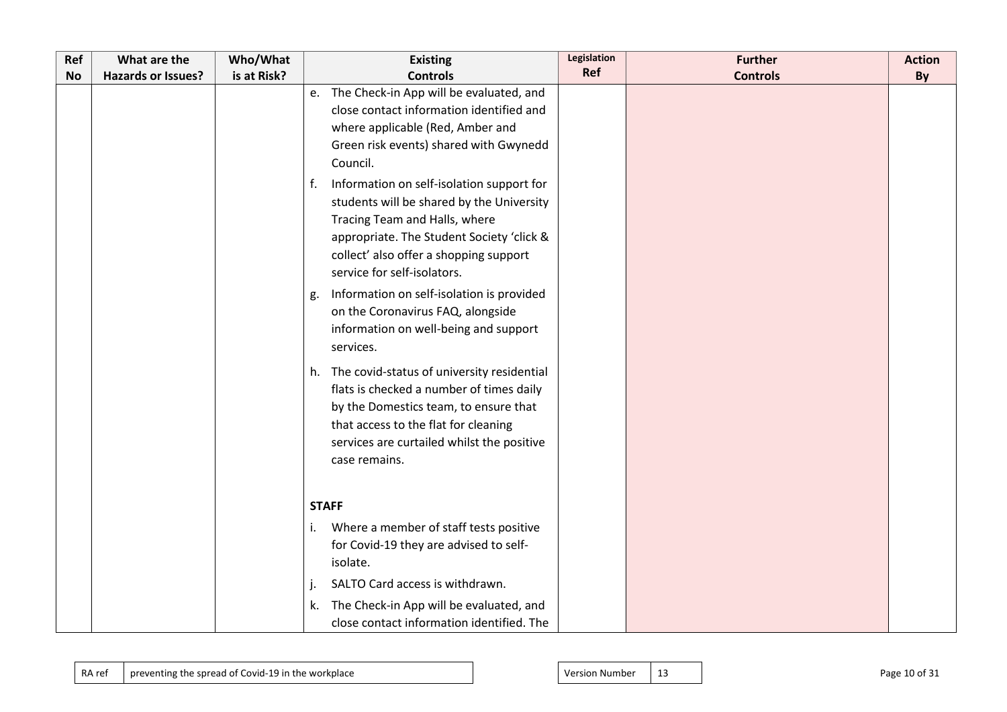| Ref | What are the              | Who/What    | <b>Existing</b>                                                                                                                                                                                                                                     | Legislation | <b>Further</b>  | <b>Action</b> |
|-----|---------------------------|-------------|-----------------------------------------------------------------------------------------------------------------------------------------------------------------------------------------------------------------------------------------------------|-------------|-----------------|---------------|
| No  | <b>Hazards or Issues?</b> | is at Risk? | <b>Controls</b>                                                                                                                                                                                                                                     | Ref         | <b>Controls</b> | By            |
|     |                           |             | e. The Check-in App will be evaluated, and<br>close contact information identified and<br>where applicable (Red, Amber and<br>Green risk events) shared with Gwynedd<br>Council.                                                                    |             |                 |               |
|     |                           |             | Information on self-isolation support for<br>f.<br>students will be shared by the University<br>Tracing Team and Halls, where<br>appropriate. The Student Society 'click &<br>collect' also offer a shopping support<br>service for self-isolators. |             |                 |               |
|     |                           |             | Information on self-isolation is provided<br>g.<br>on the Coronavirus FAQ, alongside<br>information on well-being and support<br>services.                                                                                                          |             |                 |               |
|     |                           |             | h. The covid-status of university residential<br>flats is checked a number of times daily<br>by the Domestics team, to ensure that<br>that access to the flat for cleaning<br>services are curtailed whilst the positive<br>case remains.           |             |                 |               |
|     |                           |             | <b>STAFF</b>                                                                                                                                                                                                                                        |             |                 |               |
|     |                           |             | Where a member of staff tests positive<br>for Covid-19 they are advised to self-<br>isolate.                                                                                                                                                        |             |                 |               |
|     |                           |             | SALTO Card access is withdrawn.<br>The Check-in App will be evaluated, and<br>k.<br>close contact information identified. The                                                                                                                       |             |                 |               |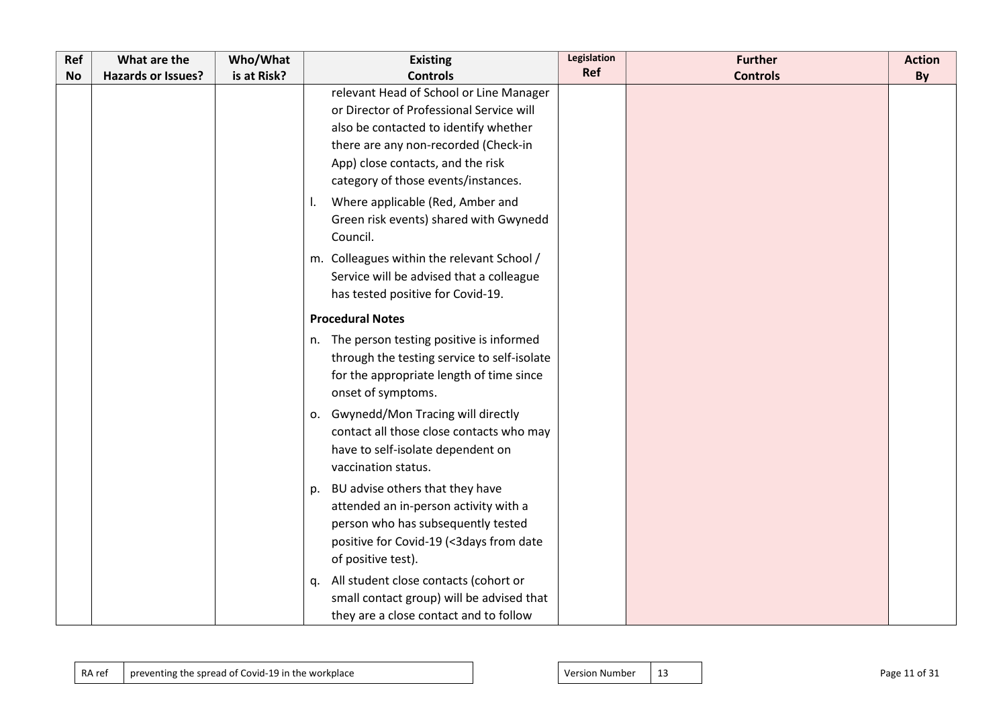| Ref       | What are the              | Who/What    | <b>Existing</b>                             | Legislation | <b>Further</b>  | <b>Action</b> |
|-----------|---------------------------|-------------|---------------------------------------------|-------------|-----------------|---------------|
| <b>No</b> | <b>Hazards or Issues?</b> | is at Risk? | <b>Controls</b>                             | Ref         | <b>Controls</b> | By            |
|           |                           |             | relevant Head of School or Line Manager     |             |                 |               |
|           |                           |             | or Director of Professional Service will    |             |                 |               |
|           |                           |             | also be contacted to identify whether       |             |                 |               |
|           |                           |             | there are any non-recorded (Check-in        |             |                 |               |
|           |                           |             | App) close contacts, and the risk           |             |                 |               |
|           |                           |             | category of those events/instances.         |             |                 |               |
|           |                           |             | Where applicable (Red, Amber and            |             |                 |               |
|           |                           |             | Green risk events) shared with Gwynedd      |             |                 |               |
|           |                           |             | Council.                                    |             |                 |               |
|           |                           |             | m. Colleagues within the relevant School /  |             |                 |               |
|           |                           |             | Service will be advised that a colleague    |             |                 |               |
|           |                           |             | has tested positive for Covid-19.           |             |                 |               |
|           |                           |             | <b>Procedural Notes</b>                     |             |                 |               |
|           |                           |             | n. The person testing positive is informed  |             |                 |               |
|           |                           |             | through the testing service to self-isolate |             |                 |               |
|           |                           |             | for the appropriate length of time since    |             |                 |               |
|           |                           |             | onset of symptoms.                          |             |                 |               |
|           |                           |             | o. Gwynedd/Mon Tracing will directly        |             |                 |               |
|           |                           |             | contact all those close contacts who may    |             |                 |               |
|           |                           |             | have to self-isolate dependent on           |             |                 |               |
|           |                           |             | vaccination status.                         |             |                 |               |
|           |                           |             | BU advise others that they have<br>p.       |             |                 |               |
|           |                           |             | attended an in-person activity with a       |             |                 |               |
|           |                           |             | person who has subsequently tested          |             |                 |               |
|           |                           |             | positive for Covid-19 (<3days from date     |             |                 |               |
|           |                           |             | of positive test).                          |             |                 |               |
|           |                           |             | All student close contacts (cohort or<br>q. |             |                 |               |
|           |                           |             | small contact group) will be advised that   |             |                 |               |
|           |                           |             | they are a close contact and to follow      |             |                 |               |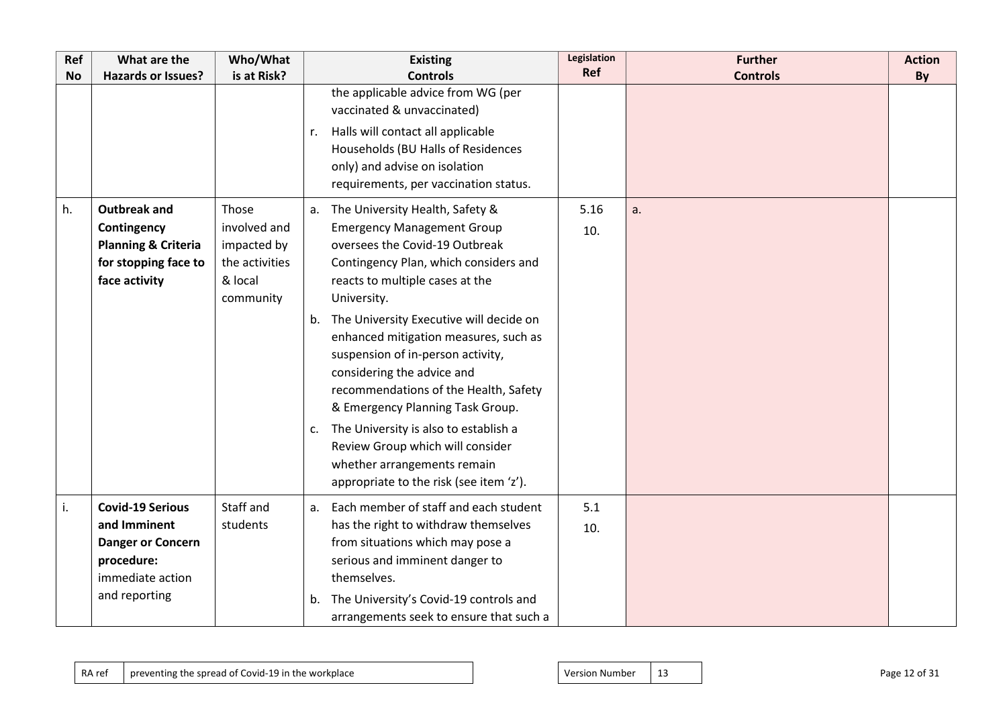| Ref       | What are the                                                                                                           | Who/What                                               | <b>Existing</b>                                                                                                                                                                                                                                                                                                                                                                                                                                       | Legislation | <b>Further</b>  | <b>Action</b> |
|-----------|------------------------------------------------------------------------------------------------------------------------|--------------------------------------------------------|-------------------------------------------------------------------------------------------------------------------------------------------------------------------------------------------------------------------------------------------------------------------------------------------------------------------------------------------------------------------------------------------------------------------------------------------------------|-------------|-----------------|---------------|
| <b>No</b> | Hazards or Issues?                                                                                                     | is at Risk?                                            | <b>Controls</b>                                                                                                                                                                                                                                                                                                                                                                                                                                       | Ref         | <b>Controls</b> | By            |
| h.        | <b>Outbreak and</b><br>Contingency<br><b>Planning &amp; Criteria</b><br>for stopping face to                           | Those<br>involved and<br>impacted by<br>the activities | the applicable advice from WG (per<br>vaccinated & unvaccinated)<br>Halls will contact all applicable<br>r.<br>Households (BU Halls of Residences<br>only) and advise on isolation<br>requirements, per vaccination status.<br>The University Health, Safety &<br>a.<br><b>Emergency Management Group</b><br>oversees the Covid-19 Outbreak<br>Contingency Plan, which considers and                                                                  | 5.16<br>10. | a.              |               |
|           | face activity                                                                                                          | & local<br>community                                   | reacts to multiple cases at the<br>University.<br>The University Executive will decide on<br>b.<br>enhanced mitigation measures, such as<br>suspension of in-person activity,<br>considering the advice and<br>recommendations of the Health, Safety<br>& Emergency Planning Task Group.<br>The University is also to establish a<br>c.<br>Review Group which will consider<br>whether arrangements remain<br>appropriate to the risk (see item 'z'). |             |                 |               |
| i.        | <b>Covid-19 Serious</b><br>and Imminent<br><b>Danger or Concern</b><br>procedure:<br>immediate action<br>and reporting | Staff and<br>students                                  | Each member of staff and each student<br>a.<br>has the right to withdraw themselves<br>from situations which may pose a<br>serious and imminent danger to<br>themselves.<br>The University's Covid-19 controls and<br>b.<br>arrangements seek to ensure that such a                                                                                                                                                                                   | 5.1<br>10.  |                 |               |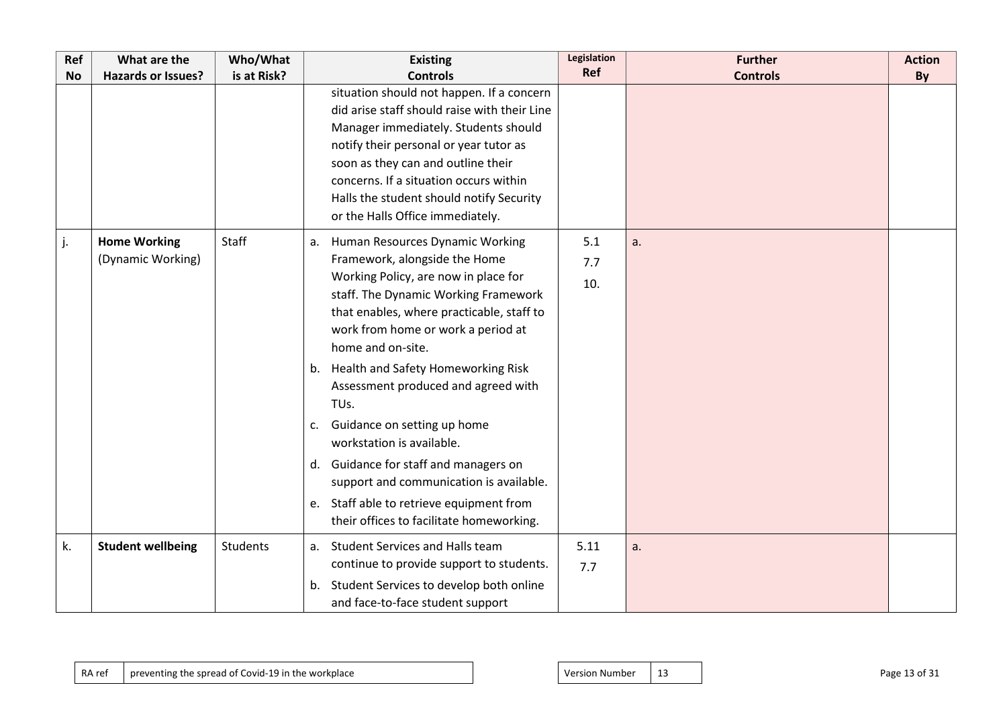| Ref       | What are the                             | Who/What        | <b>Existing</b>                                                                                                                                                                                                                                                                                                                                                                                                                                                                                                                                                                                   | Legislation       | <b>Further</b>  | <b>Action</b> |
|-----------|------------------------------------------|-----------------|---------------------------------------------------------------------------------------------------------------------------------------------------------------------------------------------------------------------------------------------------------------------------------------------------------------------------------------------------------------------------------------------------------------------------------------------------------------------------------------------------------------------------------------------------------------------------------------------------|-------------------|-----------------|---------------|
| <b>No</b> | <b>Hazards or Issues?</b>                | is at Risk?     | <b>Controls</b>                                                                                                                                                                                                                                                                                                                                                                                                                                                                                                                                                                                   | Ref               | <b>Controls</b> | By            |
|           |                                          |                 | situation should not happen. If a concern<br>did arise staff should raise with their Line<br>Manager immediately. Students should<br>notify their personal or year tutor as<br>soon as they can and outline their<br>concerns. If a situation occurs within<br>Halls the student should notify Security<br>or the Halls Office immediately.                                                                                                                                                                                                                                                       |                   |                 |               |
| j.        | <b>Home Working</b><br>(Dynamic Working) | Staff           | Human Resources Dynamic Working<br>a.<br>Framework, alongside the Home<br>Working Policy, are now in place for<br>staff. The Dynamic Working Framework<br>that enables, where practicable, staff to<br>work from home or work a period at<br>home and on-site.<br>b. Health and Safety Homeworking Risk<br>Assessment produced and agreed with<br>TUs.<br>c. Guidance on setting up home<br>workstation is available.<br>d. Guidance for staff and managers on<br>support and communication is available.<br>e. Staff able to retrieve equipment from<br>their offices to facilitate homeworking. | 5.1<br>7.7<br>10. | a.              |               |
| k.        | <b>Student wellbeing</b>                 | <b>Students</b> | a. Student Services and Halls team<br>continue to provide support to students.<br>b. Student Services to develop both online<br>and face-to-face student support                                                                                                                                                                                                                                                                                                                                                                                                                                  | 5.11<br>7.7       | a.              |               |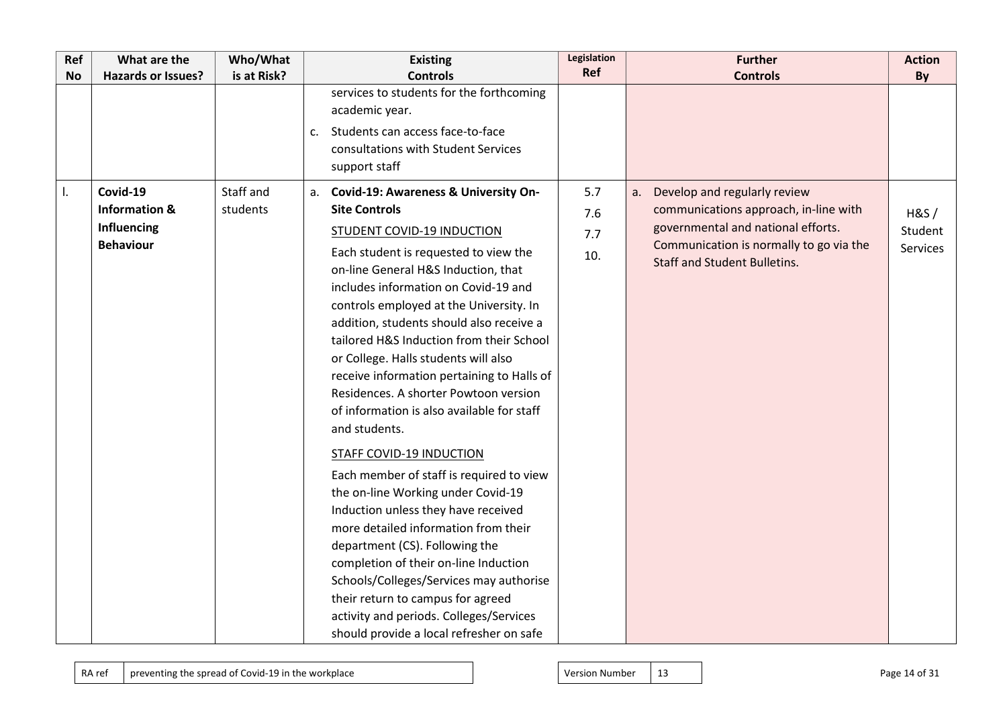| Ref       | What are the              | Who/What    | <b>Existing</b>                                                                     | Legislation<br>Ref | <b>Further</b>                                                                 | <b>Action</b> |
|-----------|---------------------------|-------------|-------------------------------------------------------------------------------------|--------------------|--------------------------------------------------------------------------------|---------------|
| <b>No</b> | <b>Hazards or Issues?</b> | is at Risk? | <b>Controls</b><br>services to students for the forthcoming                         |                    | <b>Controls</b>                                                                | By            |
|           |                           |             | academic year.                                                                      |                    |                                                                                |               |
|           |                           |             |                                                                                     |                    |                                                                                |               |
|           |                           |             | Students can access face-to-face<br>c.<br>consultations with Student Services       |                    |                                                                                |               |
|           |                           |             | support staff                                                                       |                    |                                                                                |               |
|           |                           |             |                                                                                     |                    |                                                                                |               |
| I.        | Covid-19                  | Staff and   | a. Covid-19: Awareness & University On-                                             | 5.7                | Develop and regularly review<br>а.                                             |               |
|           | <b>Information &amp;</b>  | students    | <b>Site Controls</b>                                                                | 7.6                | communications approach, in-line with                                          | H&S/          |
|           | Influencing               |             | <b>STUDENT COVID-19 INDUCTION</b>                                                   | 7.7                | governmental and national efforts.                                             | Student       |
|           | <b>Behaviour</b>          |             | Each student is requested to view the                                               | 10.                | Communication is normally to go via the<br><b>Staff and Student Bulletins.</b> | Services      |
|           |                           |             | on-line General H&S Induction, that                                                 |                    |                                                                                |               |
|           |                           |             | includes information on Covid-19 and                                                |                    |                                                                                |               |
|           |                           |             | controls employed at the University. In                                             |                    |                                                                                |               |
|           |                           |             | addition, students should also receive a                                            |                    |                                                                                |               |
|           |                           |             | tailored H&S Induction from their School                                            |                    |                                                                                |               |
|           |                           |             | or College. Halls students will also                                                |                    |                                                                                |               |
|           |                           |             | receive information pertaining to Halls of<br>Residences. A shorter Powtoon version |                    |                                                                                |               |
|           |                           |             | of information is also available for staff                                          |                    |                                                                                |               |
|           |                           |             | and students.                                                                       |                    |                                                                                |               |
|           |                           |             |                                                                                     |                    |                                                                                |               |
|           |                           |             | <b>STAFF COVID-19 INDUCTION</b>                                                     |                    |                                                                                |               |
|           |                           |             | Each member of staff is required to view                                            |                    |                                                                                |               |
|           |                           |             | the on-line Working under Covid-19                                                  |                    |                                                                                |               |
|           |                           |             | Induction unless they have received                                                 |                    |                                                                                |               |
|           |                           |             | more detailed information from their                                                |                    |                                                                                |               |
|           |                           |             | department (CS). Following the                                                      |                    |                                                                                |               |
|           |                           |             | completion of their on-line Induction                                               |                    |                                                                                |               |
|           |                           |             | Schools/Colleges/Services may authorise                                             |                    |                                                                                |               |
|           |                           |             | their return to campus for agreed                                                   |                    |                                                                                |               |
|           |                           |             | activity and periods. Colleges/Services                                             |                    |                                                                                |               |
|           |                           |             | should provide a local refresher on safe                                            |                    |                                                                                |               |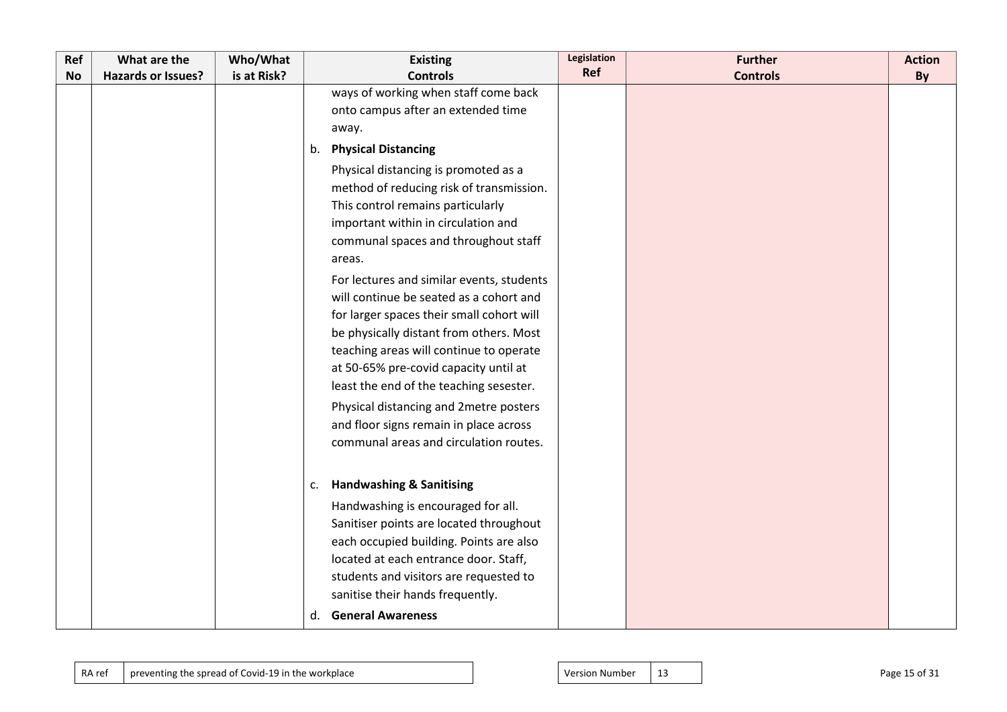| Ref       | What are the              | Who/What    | <b>Existing</b>                           | Legislation | <b>Further</b>  | <b>Action</b> |
|-----------|---------------------------|-------------|-------------------------------------------|-------------|-----------------|---------------|
| <b>No</b> | <b>Hazards or Issues?</b> | is at Risk? | <b>Controls</b>                           | Ref         | <b>Controls</b> | By            |
|           |                           |             | ways of working when staff come back      |             |                 |               |
|           |                           |             | onto campus after an extended time        |             |                 |               |
|           |                           |             | away.                                     |             |                 |               |
|           |                           |             | <b>Physical Distancing</b><br>b.          |             |                 |               |
|           |                           |             | Physical distancing is promoted as a      |             |                 |               |
|           |                           |             | method of reducing risk of transmission.  |             |                 |               |
|           |                           |             | This control remains particularly         |             |                 |               |
|           |                           |             | important within in circulation and       |             |                 |               |
|           |                           |             | communal spaces and throughout staff      |             |                 |               |
|           |                           |             | areas.                                    |             |                 |               |
|           |                           |             | For lectures and similar events, students |             |                 |               |
|           |                           |             | will continue be seated as a cohort and   |             |                 |               |
|           |                           |             | for larger spaces their small cohort will |             |                 |               |
|           |                           |             | be physically distant from others. Most   |             |                 |               |
|           |                           |             | teaching areas will continue to operate   |             |                 |               |
|           |                           |             | at 50-65% pre-covid capacity until at     |             |                 |               |
|           |                           |             | least the end of the teaching sesester.   |             |                 |               |
|           |                           |             | Physical distancing and 2metre posters    |             |                 |               |
|           |                           |             | and floor signs remain in place across    |             |                 |               |
|           |                           |             | communal areas and circulation routes.    |             |                 |               |
|           |                           |             |                                           |             |                 |               |
|           |                           |             | <b>Handwashing &amp; Sanitising</b><br>c. |             |                 |               |
|           |                           |             | Handwashing is encouraged for all.        |             |                 |               |
|           |                           |             | Sanitiser points are located throughout   |             |                 |               |
|           |                           |             | each occupied building. Points are also   |             |                 |               |
|           |                           |             | located at each entrance door. Staff,     |             |                 |               |
|           |                           |             | students and visitors are requested to    |             |                 |               |
|           |                           |             | sanitise their hands frequently.          |             |                 |               |
|           |                           |             | <b>General Awareness</b><br>d.            |             |                 |               |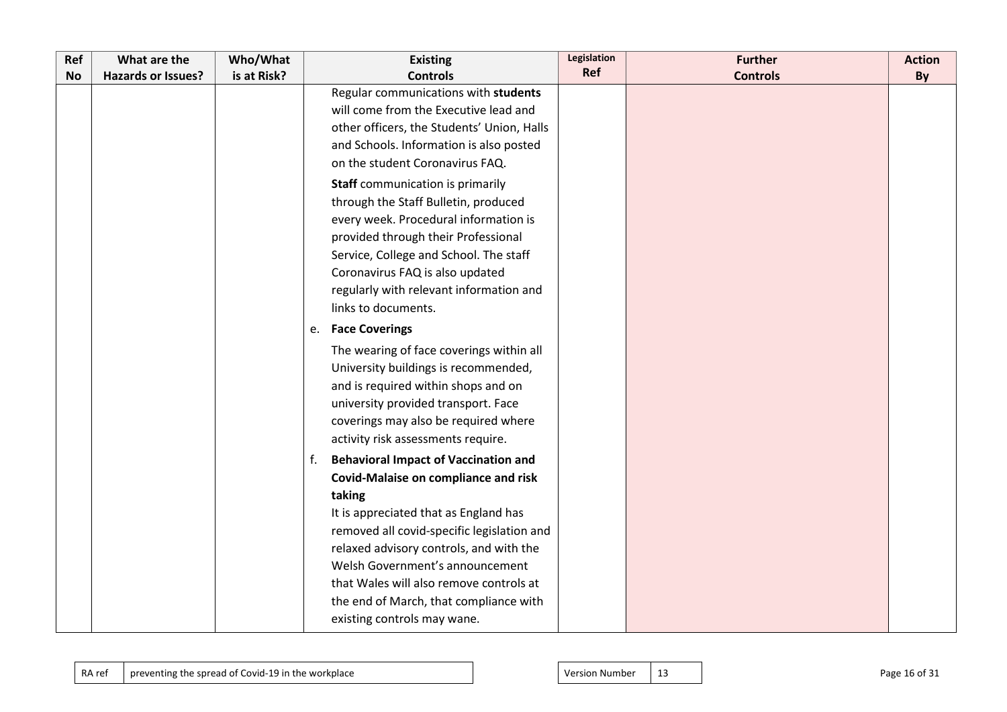| Ref       | What are the              | Who/What    | <b>Existing</b>                                   | <b>Legislation</b> | <b>Further</b>  | <b>Action</b> |
|-----------|---------------------------|-------------|---------------------------------------------------|--------------------|-----------------|---------------|
| <b>No</b> | <b>Hazards or Issues?</b> | is at Risk? | <b>Controls</b>                                   | Ref                | <b>Controls</b> | By            |
|           |                           |             | Regular communications with students              |                    |                 |               |
|           |                           |             | will come from the Executive lead and             |                    |                 |               |
|           |                           |             | other officers, the Students' Union, Halls        |                    |                 |               |
|           |                           |             | and Schools. Information is also posted           |                    |                 |               |
|           |                           |             | on the student Coronavirus FAQ.                   |                    |                 |               |
|           |                           |             | <b>Staff</b> communication is primarily           |                    |                 |               |
|           |                           |             | through the Staff Bulletin, produced              |                    |                 |               |
|           |                           |             | every week. Procedural information is             |                    |                 |               |
|           |                           |             | provided through their Professional               |                    |                 |               |
|           |                           |             | Service, College and School. The staff            |                    |                 |               |
|           |                           |             | Coronavirus FAQ is also updated                   |                    |                 |               |
|           |                           |             | regularly with relevant information and           |                    |                 |               |
|           |                           |             | links to documents.                               |                    |                 |               |
|           |                           |             | e. Face Coverings                                 |                    |                 |               |
|           |                           |             | The wearing of face coverings within all          |                    |                 |               |
|           |                           |             | University buildings is recommended,              |                    |                 |               |
|           |                           |             | and is required within shops and on               |                    |                 |               |
|           |                           |             | university provided transport. Face               |                    |                 |               |
|           |                           |             | coverings may also be required where              |                    |                 |               |
|           |                           |             | activity risk assessments require.                |                    |                 |               |
|           |                           |             | <b>Behavioral Impact of Vaccination and</b><br>f. |                    |                 |               |
|           |                           |             | Covid-Malaise on compliance and risk              |                    |                 |               |
|           |                           |             | taking                                            |                    |                 |               |
|           |                           |             | It is appreciated that as England has             |                    |                 |               |
|           |                           |             | removed all covid-specific legislation and        |                    |                 |               |
|           |                           |             | relaxed advisory controls, and with the           |                    |                 |               |
|           |                           |             | Welsh Government's announcement                   |                    |                 |               |
|           |                           |             | that Wales will also remove controls at           |                    |                 |               |
|           |                           |             | the end of March, that compliance with            |                    |                 |               |
|           |                           |             | existing controls may wane.                       |                    |                 |               |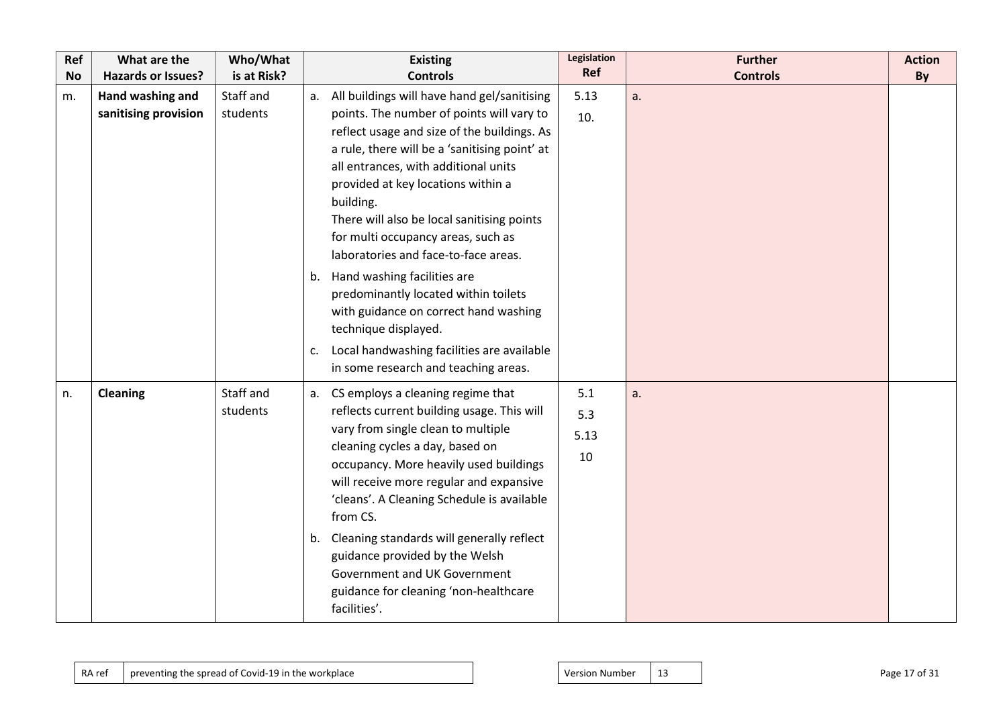| Ref<br><b>No</b> | What are the<br><b>Hazards or Issues?</b> | Who/What<br>is at Risk? | <b>Existing</b><br><b>Controls</b>               | Legislation<br><b>Ref</b> | <b>Further</b><br><b>Controls</b> | <b>Action</b><br>By |
|------------------|-------------------------------------------|-------------------------|--------------------------------------------------|---------------------------|-----------------------------------|---------------------|
|                  |                                           |                         |                                                  |                           |                                   |                     |
| m.               | Hand washing and                          | Staff and               | a. All buildings will have hand gel/sanitising   | 5.13                      | a.                                |                     |
|                  | sanitising provision                      | students                | points. The number of points will vary to        | 10.                       |                                   |                     |
|                  |                                           |                         | reflect usage and size of the buildings. As      |                           |                                   |                     |
|                  |                                           |                         | a rule, there will be a 'sanitising point' at    |                           |                                   |                     |
|                  |                                           |                         | all entrances, with additional units             |                           |                                   |                     |
|                  |                                           |                         | provided at key locations within a               |                           |                                   |                     |
|                  |                                           |                         | building.                                        |                           |                                   |                     |
|                  |                                           |                         | There will also be local sanitising points       |                           |                                   |                     |
|                  |                                           |                         | for multi occupancy areas, such as               |                           |                                   |                     |
|                  |                                           |                         | laboratories and face-to-face areas.             |                           |                                   |                     |
|                  |                                           |                         | Hand washing facilities are<br>b.                |                           |                                   |                     |
|                  |                                           |                         | predominantly located within toilets             |                           |                                   |                     |
|                  |                                           |                         | with guidance on correct hand washing            |                           |                                   |                     |
|                  |                                           |                         | technique displayed.                             |                           |                                   |                     |
|                  |                                           |                         | Local handwashing facilities are available<br>c. |                           |                                   |                     |
|                  |                                           |                         | in some research and teaching areas.             |                           |                                   |                     |
| n.               | <b>Cleaning</b>                           | Staff and               | CS employs a cleaning regime that<br>а.          | 5.1                       | a.                                |                     |
|                  |                                           | students                | reflects current building usage. This will       | 5.3                       |                                   |                     |
|                  |                                           |                         | vary from single clean to multiple               | 5.13                      |                                   |                     |
|                  |                                           |                         | cleaning cycles a day, based on                  | 10                        |                                   |                     |
|                  |                                           |                         | occupancy. More heavily used buildings           |                           |                                   |                     |
|                  |                                           |                         | will receive more regular and expansive          |                           |                                   |                     |
|                  |                                           |                         | 'cleans'. A Cleaning Schedule is available       |                           |                                   |                     |
|                  |                                           |                         | from CS.                                         |                           |                                   |                     |
|                  |                                           |                         | b. Cleaning standards will generally reflect     |                           |                                   |                     |
|                  |                                           |                         | guidance provided by the Welsh                   |                           |                                   |                     |
|                  |                                           |                         | Government and UK Government                     |                           |                                   |                     |
|                  |                                           |                         | guidance for cleaning 'non-healthcare            |                           |                                   |                     |
|                  |                                           |                         | facilities'.                                     |                           |                                   |                     |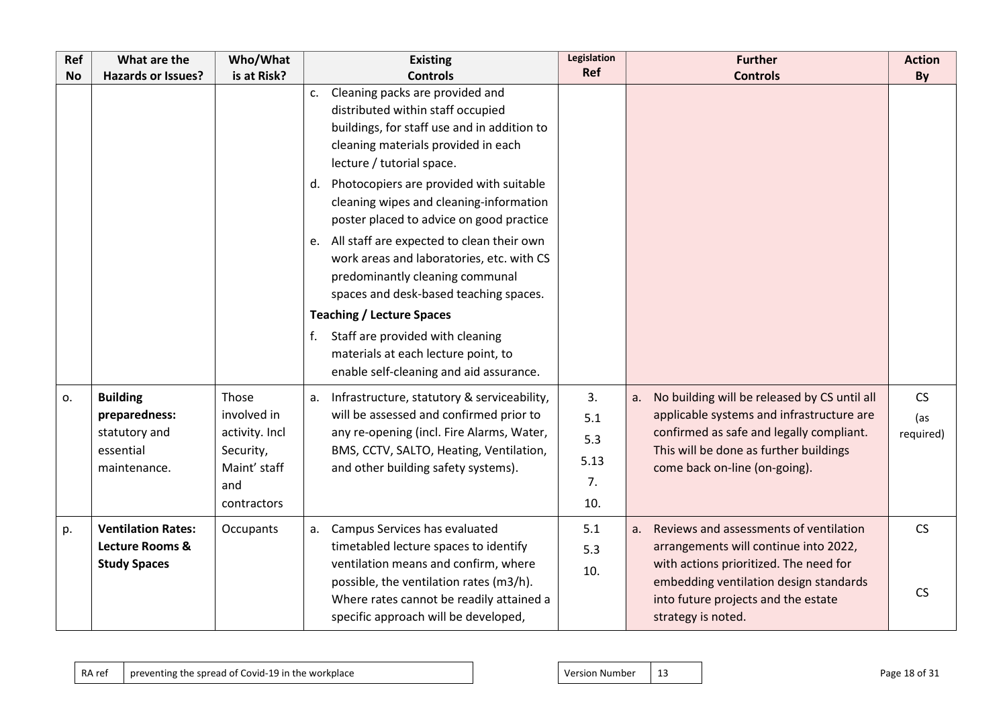| Ref       | What are the                                                                   | Who/What                                                                                  | <b>Existing</b>                                                                                                                                                                                                                                                                                                                                                                                                                                                                                                                                                                                                                                                              | Legislation                           | <b>Further</b>                                                                                                                                                                                                                         | <b>Action</b>          |
|-----------|--------------------------------------------------------------------------------|-------------------------------------------------------------------------------------------|------------------------------------------------------------------------------------------------------------------------------------------------------------------------------------------------------------------------------------------------------------------------------------------------------------------------------------------------------------------------------------------------------------------------------------------------------------------------------------------------------------------------------------------------------------------------------------------------------------------------------------------------------------------------------|---------------------------------------|----------------------------------------------------------------------------------------------------------------------------------------------------------------------------------------------------------------------------------------|------------------------|
| <b>No</b> | <b>Hazards or Issues?</b>                                                      | is at Risk?                                                                               | <b>Controls</b>                                                                                                                                                                                                                                                                                                                                                                                                                                                                                                                                                                                                                                                              | <b>Ref</b>                            | <b>Controls</b>                                                                                                                                                                                                                        | By                     |
|           |                                                                                |                                                                                           | Cleaning packs are provided and<br>c.<br>distributed within staff occupied<br>buildings, for staff use and in addition to<br>cleaning materials provided in each<br>lecture / tutorial space.<br>d. Photocopiers are provided with suitable<br>cleaning wipes and cleaning-information<br>poster placed to advice on good practice<br>e. All staff are expected to clean their own<br>work areas and laboratories, etc. with CS<br>predominantly cleaning communal<br>spaces and desk-based teaching spaces.<br><b>Teaching / Lecture Spaces</b><br>Staff are provided with cleaning<br>f.<br>materials at each lecture point, to<br>enable self-cleaning and aid assurance. |                                       |                                                                                                                                                                                                                                        |                        |
| о.        | <b>Building</b><br>preparedness:<br>statutory and<br>essential<br>maintenance. | Those<br>involved in<br>activity. Incl<br>Security,<br>Maint' staff<br>and<br>contractors | Infrastructure, statutory & serviceability,<br>a.<br>will be assessed and confirmed prior to<br>any re-opening (incl. Fire Alarms, Water,<br>BMS, CCTV, SALTO, Heating, Ventilation,<br>and other building safety systems).                                                                                                                                                                                                                                                                                                                                                                                                                                                  | 3.<br>5.1<br>5.3<br>5.13<br>7.<br>10. | No building will be released by CS until all<br>a.<br>applicable systems and infrastructure are<br>confirmed as safe and legally compliant.<br>This will be done as further buildings<br>come back on-line (on-going).                 | CS<br>(as<br>required) |
| p.        | <b>Ventilation Rates:</b><br><b>Lecture Rooms &amp;</b><br><b>Study Spaces</b> | Occupants                                                                                 | a. Campus Services has evaluated<br>timetabled lecture spaces to identify<br>ventilation means and confirm, where<br>possible, the ventilation rates (m3/h).<br>Where rates cannot be readily attained a<br>specific approach will be developed,                                                                                                                                                                                                                                                                                                                                                                                                                             | 5.1<br>5.3<br>10.                     | Reviews and assessments of ventilation<br>a.<br>arrangements will continue into 2022,<br>with actions prioritized. The need for<br>embedding ventilation design standards<br>into future projects and the estate<br>strategy is noted. | <b>CS</b><br><b>CS</b> |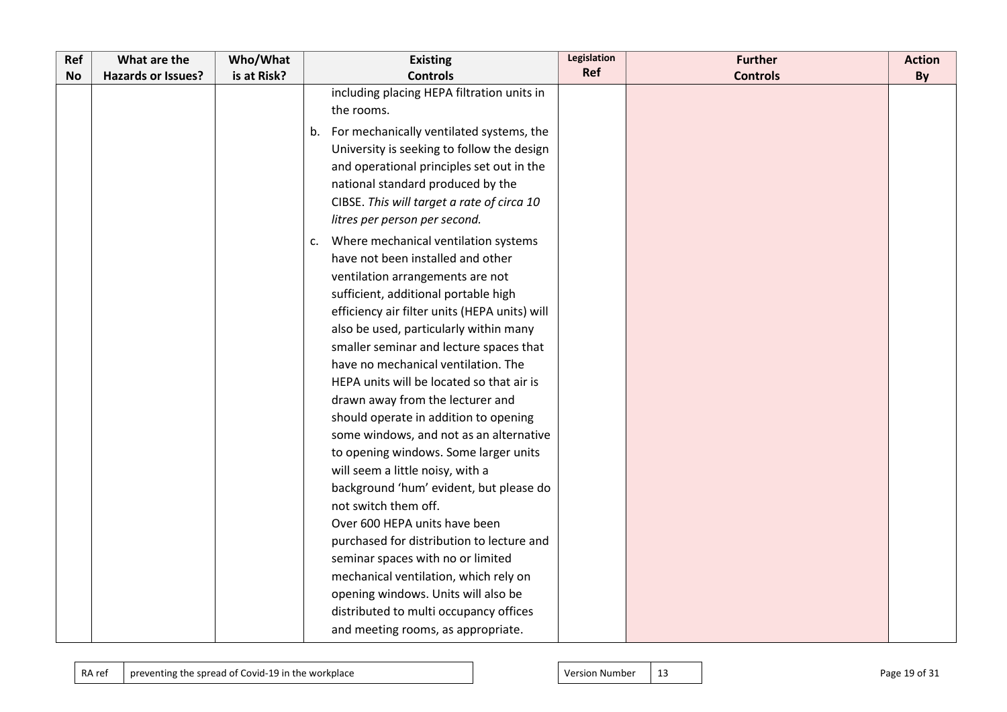| Ref       | What are the              | Who/What    | <b>Existing</b>                                | Legislation | <b>Further</b>  | <b>Action</b> |
|-----------|---------------------------|-------------|------------------------------------------------|-------------|-----------------|---------------|
| <b>No</b> | <b>Hazards or Issues?</b> | is at Risk? | <b>Controls</b>                                | Ref         | <b>Controls</b> | By            |
|           |                           |             | including placing HEPA filtration units in     |             |                 |               |
|           |                           |             | the rooms.                                     |             |                 |               |
|           |                           |             | For mechanically ventilated systems, the<br>b. |             |                 |               |
|           |                           |             | University is seeking to follow the design     |             |                 |               |
|           |                           |             | and operational principles set out in the      |             |                 |               |
|           |                           |             | national standard produced by the              |             |                 |               |
|           |                           |             | CIBSE. This will target a rate of circa 10     |             |                 |               |
|           |                           |             | litres per person per second.                  |             |                 |               |
|           |                           |             | Where mechanical ventilation systems<br>c.     |             |                 |               |
|           |                           |             | have not been installed and other              |             |                 |               |
|           |                           |             | ventilation arrangements are not               |             |                 |               |
|           |                           |             | sufficient, additional portable high           |             |                 |               |
|           |                           |             | efficiency air filter units (HEPA units) will  |             |                 |               |
|           |                           |             | also be used, particularly within many         |             |                 |               |
|           |                           |             | smaller seminar and lecture spaces that        |             |                 |               |
|           |                           |             | have no mechanical ventilation. The            |             |                 |               |
|           |                           |             | HEPA units will be located so that air is      |             |                 |               |
|           |                           |             | drawn away from the lecturer and               |             |                 |               |
|           |                           |             | should operate in addition to opening          |             |                 |               |
|           |                           |             | some windows, and not as an alternative        |             |                 |               |
|           |                           |             | to opening windows. Some larger units          |             |                 |               |
|           |                           |             | will seem a little noisy, with a               |             |                 |               |
|           |                           |             | background 'hum' evident, but please do        |             |                 |               |
|           |                           |             | not switch them off.                           |             |                 |               |
|           |                           |             | Over 600 HEPA units have been                  |             |                 |               |
|           |                           |             | purchased for distribution to lecture and      |             |                 |               |
|           |                           |             | seminar spaces with no or limited              |             |                 |               |
|           |                           |             | mechanical ventilation, which rely on          |             |                 |               |
|           |                           |             | opening windows. Units will also be            |             |                 |               |
|           |                           |             | distributed to multi occupancy offices         |             |                 |               |
|           |                           |             | and meeting rooms, as appropriate.             |             |                 |               |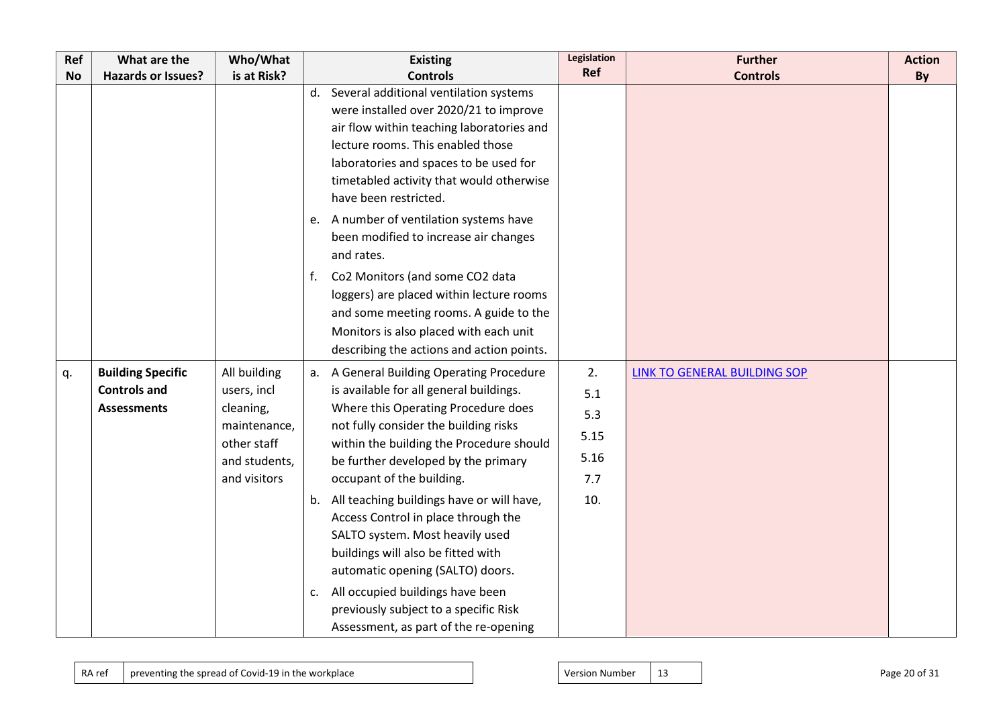| Ref       | What are the                                                          | Who/What                                                                                                 | <b>Existing</b>                                                                                                                                                                                                                                                                                                                                                                                                                                                                                                                                                                                                      | Legislation                                    | <b>Further</b>               | <b>Action</b> |
|-----------|-----------------------------------------------------------------------|----------------------------------------------------------------------------------------------------------|----------------------------------------------------------------------------------------------------------------------------------------------------------------------------------------------------------------------------------------------------------------------------------------------------------------------------------------------------------------------------------------------------------------------------------------------------------------------------------------------------------------------------------------------------------------------------------------------------------------------|------------------------------------------------|------------------------------|---------------|
| <b>No</b> | <b>Hazards or Issues?</b>                                             | is at Risk?                                                                                              | <b>Controls</b>                                                                                                                                                                                                                                                                                                                                                                                                                                                                                                                                                                                                      | Ref                                            | <b>Controls</b>              | By            |
|           |                                                                       |                                                                                                          | d. Several additional ventilation systems<br>were installed over 2020/21 to improve<br>air flow within teaching laboratories and<br>lecture rooms. This enabled those<br>laboratories and spaces to be used for<br>timetabled activity that would otherwise<br>have been restricted.<br>A number of ventilation systems have<br>e.<br>been modified to increase air changes<br>and rates.<br>Co2 Monitors (and some CO2 data<br>f.<br>loggers) are placed within lecture rooms<br>and some meeting rooms. A guide to the<br>Monitors is also placed with each unit<br>describing the actions and action points.      |                                                |                              |               |
| q.        | <b>Building Specific</b><br><b>Controls and</b><br><b>Assessments</b> | All building<br>users, incl<br>cleaning,<br>maintenance,<br>other staff<br>and students,<br>and visitors | a. A General Building Operating Procedure<br>is available for all general buildings.<br>Where this Operating Procedure does<br>not fully consider the building risks<br>within the building the Procedure should<br>be further developed by the primary<br>occupant of the building.<br>b. All teaching buildings have or will have,<br>Access Control in place through the<br>SALTO system. Most heavily used<br>buildings will also be fitted with<br>automatic opening (SALTO) doors.<br>All occupied buildings have been<br>c.<br>previously subject to a specific Risk<br>Assessment, as part of the re-opening | 2.<br>5.1<br>5.3<br>5.15<br>5.16<br>7.7<br>10. | LINK TO GENERAL BUILDING SOP |               |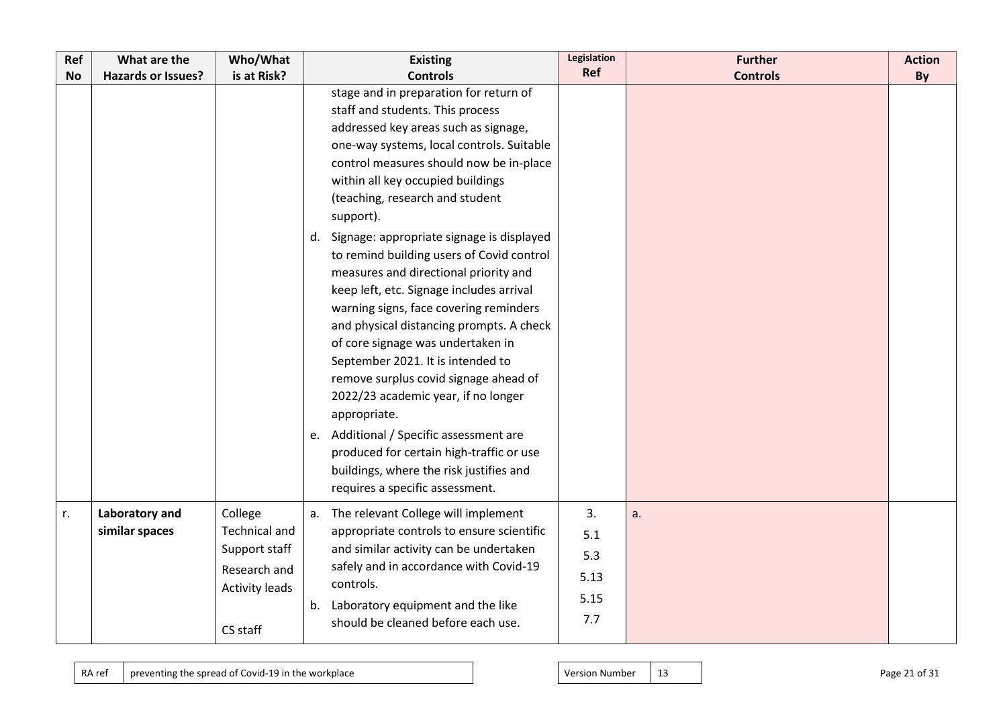| Ref       | What are the              | Who/What                              | <b>Existing</b>                                                                                                                                                                                                                                                                                                                                                                                                                                                                                                                                                                                                                                                                                                                                                                                                                                                                                                        | Legislation | <b>Further</b>  | <b>Action</b> |
|-----------|---------------------------|---------------------------------------|------------------------------------------------------------------------------------------------------------------------------------------------------------------------------------------------------------------------------------------------------------------------------------------------------------------------------------------------------------------------------------------------------------------------------------------------------------------------------------------------------------------------------------------------------------------------------------------------------------------------------------------------------------------------------------------------------------------------------------------------------------------------------------------------------------------------------------------------------------------------------------------------------------------------|-------------|-----------------|---------------|
| <b>No</b> | <b>Hazards or Issues?</b> | is at Risk?                           | <b>Controls</b>                                                                                                                                                                                                                                                                                                                                                                                                                                                                                                                                                                                                                                                                                                                                                                                                                                                                                                        | Ref         | <b>Controls</b> | By            |
|           |                           |                                       | stage and in preparation for return of<br>staff and students. This process<br>addressed key areas such as signage,<br>one-way systems, local controls. Suitable<br>control measures should now be in-place<br>within all key occupied buildings<br>(teaching, research and student<br>support).<br>d. Signage: appropriate signage is displayed<br>to remind building users of Covid control<br>measures and directional priority and<br>keep left, etc. Signage includes arrival<br>warning signs, face covering reminders<br>and physical distancing prompts. A check<br>of core signage was undertaken in<br>September 2021. It is intended to<br>remove surplus covid signage ahead of<br>2022/23 academic year, if no longer<br>appropriate.<br>e. Additional / Specific assessment are<br>produced for certain high-traffic or use<br>buildings, where the risk justifies and<br>requires a specific assessment. |             |                 |               |
| r.        | Laboratory and            | College                               | The relevant College will implement<br>a.                                                                                                                                                                                                                                                                                                                                                                                                                                                                                                                                                                                                                                                                                                                                                                                                                                                                              | 3.          | a.              |               |
|           | similar spaces            | Technical and                         | appropriate controls to ensure scientific                                                                                                                                                                                                                                                                                                                                                                                                                                                                                                                                                                                                                                                                                                                                                                                                                                                                              | 5.1         |                 |               |
|           |                           | Support staff                         | and similar activity can be undertaken                                                                                                                                                                                                                                                                                                                                                                                                                                                                                                                                                                                                                                                                                                                                                                                                                                                                                 | 5.3         |                 |               |
|           |                           | Research and<br><b>Activity leads</b> | safely and in accordance with Covid-19<br>controls.                                                                                                                                                                                                                                                                                                                                                                                                                                                                                                                                                                                                                                                                                                                                                                                                                                                                    | 5.13        |                 |               |
|           |                           |                                       | b. Laboratory equipment and the like                                                                                                                                                                                                                                                                                                                                                                                                                                                                                                                                                                                                                                                                                                                                                                                                                                                                                   | 5.15        |                 |               |
|           |                           | CS staff                              | should be cleaned before each use.                                                                                                                                                                                                                                                                                                                                                                                                                                                                                                                                                                                                                                                                                                                                                                                                                                                                                     | 7.7         |                 |               |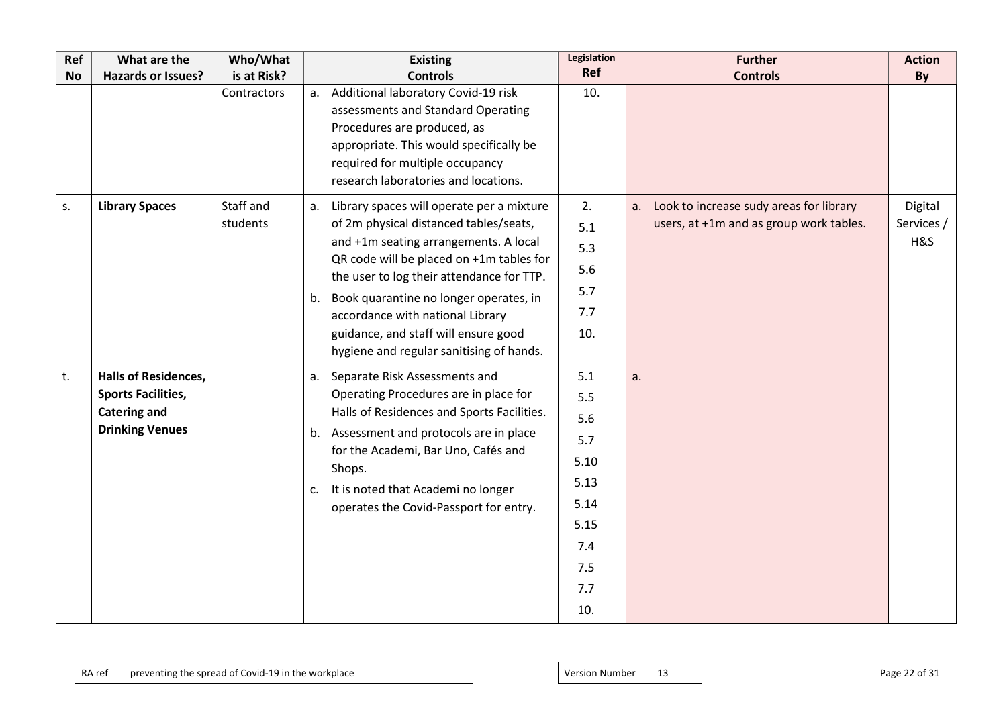| Ref       | What are the                                                                                              | Who/What              | <b>Existing</b>                                                                                                                                                                                                                                                                                                                                                                                     | Legislation                                                                          | <b>Further</b>                                                                        | <b>Action</b>                |
|-----------|-----------------------------------------------------------------------------------------------------------|-----------------------|-----------------------------------------------------------------------------------------------------------------------------------------------------------------------------------------------------------------------------------------------------------------------------------------------------------------------------------------------------------------------------------------------------|--------------------------------------------------------------------------------------|---------------------------------------------------------------------------------------|------------------------------|
| <b>No</b> | <b>Hazards or Issues?</b>                                                                                 | is at Risk?           | <b>Controls</b>                                                                                                                                                                                                                                                                                                                                                                                     | Ref                                                                                  | <b>Controls</b>                                                                       | By                           |
|           |                                                                                                           | Contractors           | Additional laboratory Covid-19 risk<br>a.<br>assessments and Standard Operating<br>Procedures are produced, as<br>appropriate. This would specifically be<br>required for multiple occupancy<br>research laboratories and locations.                                                                                                                                                                | 10.                                                                                  |                                                                                       |                              |
| S.        | <b>Library Spaces</b>                                                                                     | Staff and<br>students | Library spaces will operate per a mixture<br>а.<br>of 2m physical distanced tables/seats,<br>and +1m seating arrangements. A local<br>QR code will be placed on +1m tables for<br>the user to log their attendance for TTP.<br>Book quarantine no longer operates, in<br>b.<br>accordance with national Library<br>guidance, and staff will ensure good<br>hygiene and regular sanitising of hands. | 2.<br>5.1<br>5.3<br>5.6<br>5.7<br>7.7<br>10.                                         | a. Look to increase sudy areas for library<br>users, at +1m and as group work tables. | Digital<br>Services /<br>H&S |
| t.        | <b>Halls of Residences,</b><br><b>Sports Facilities,</b><br><b>Catering and</b><br><b>Drinking Venues</b> |                       | Separate Risk Assessments and<br>а.<br>Operating Procedures are in place for<br>Halls of Residences and Sports Facilities.<br>b. Assessment and protocols are in place<br>for the Academi, Bar Uno, Cafés and<br>Shops.<br>It is noted that Academi no longer<br>c.<br>operates the Covid-Passport for entry.                                                                                       | 5.1<br>5.5<br>5.6<br>5.7<br>5.10<br>5.13<br>5.14<br>5.15<br>7.4<br>7.5<br>7.7<br>10. | a.                                                                                    |                              |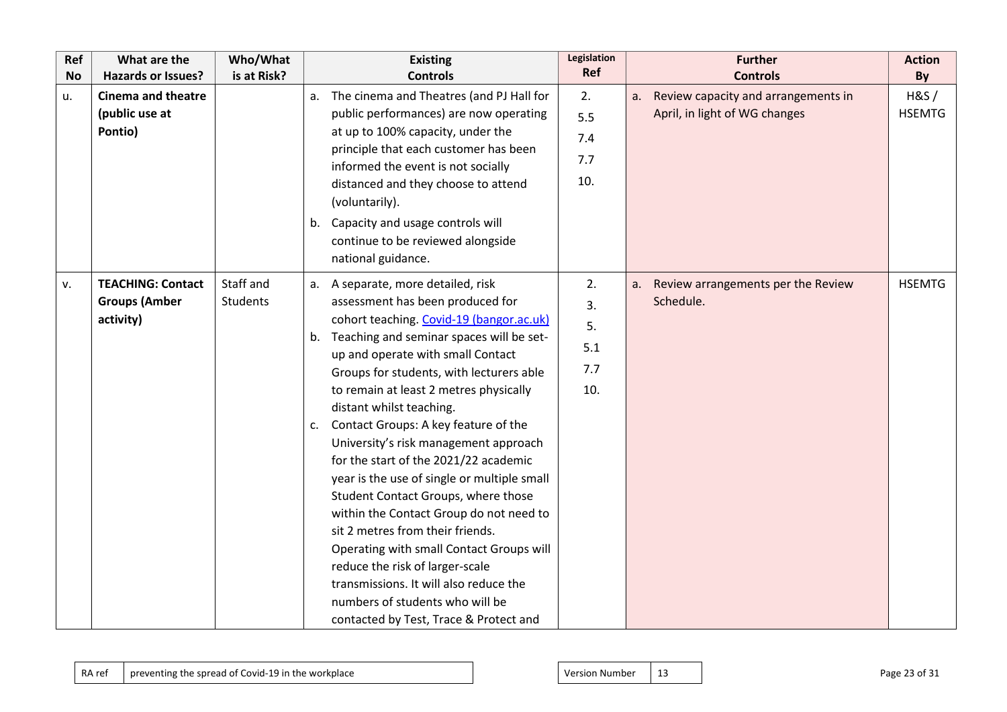| Ref       | What are the              | Who/What        | <b>Existing</b>                                                           | Legislation<br>Ref | <b>Further</b>                           | <b>Action</b> |
|-----------|---------------------------|-----------------|---------------------------------------------------------------------------|--------------------|------------------------------------------|---------------|
| <b>No</b> | <b>Hazards or Issues?</b> | is at Risk?     | <b>Controls</b>                                                           |                    | <b>Controls</b>                          | By            |
| u.        | <b>Cinema and theatre</b> |                 | The cinema and Theatres (and PJ Hall for<br>a.                            | 2.                 | a. Review capacity and arrangements in   | H&S/          |
|           | (public use at            |                 | public performances) are now operating                                    | 5.5                | April, in light of WG changes            | <b>HSEMTG</b> |
|           | Pontio)                   |                 | at up to 100% capacity, under the                                         | 7.4                |                                          |               |
|           |                           |                 | principle that each customer has been                                     | 7.7                |                                          |               |
|           |                           |                 | informed the event is not socially                                        | 10.                |                                          |               |
|           |                           |                 | distanced and they choose to attend                                       |                    |                                          |               |
|           |                           |                 | (voluntarily).                                                            |                    |                                          |               |
|           |                           |                 | b. Capacity and usage controls will                                       |                    |                                          |               |
|           |                           |                 | continue to be reviewed alongside                                         |                    |                                          |               |
|           |                           |                 | national guidance.                                                        |                    |                                          |               |
| v.        | <b>TEACHING: Contact</b>  | Staff and       | a. A separate, more detailed, risk                                        | 2.                 | Review arrangements per the Review<br>a. | <b>HSEMTG</b> |
|           | <b>Groups (Amber</b>      | <b>Students</b> | assessment has been produced for                                          | 3.                 | Schedule.                                |               |
|           | activity)                 |                 | cohort teaching. Covid-19 (bangor.ac.uk)                                  | 5.                 |                                          |               |
|           |                           |                 | Teaching and seminar spaces will be set-<br>b.                            | 5.1                |                                          |               |
|           |                           |                 | up and operate with small Contact                                         |                    |                                          |               |
|           |                           |                 | Groups for students, with lecturers able                                  | 7.7                |                                          |               |
|           |                           |                 | to remain at least 2 metres physically                                    | 10.                |                                          |               |
|           |                           |                 | distant whilst teaching.                                                  |                    |                                          |               |
|           |                           |                 | Contact Groups: A key feature of the<br>c.                                |                    |                                          |               |
|           |                           |                 | University's risk management approach                                     |                    |                                          |               |
|           |                           |                 | for the start of the 2021/22 academic                                     |                    |                                          |               |
|           |                           |                 | year is the use of single or multiple small                               |                    |                                          |               |
|           |                           |                 | Student Contact Groups, where those                                       |                    |                                          |               |
|           |                           |                 | within the Contact Group do not need to                                   |                    |                                          |               |
|           |                           |                 | sit 2 metres from their friends.                                          |                    |                                          |               |
|           |                           |                 | Operating with small Contact Groups will                                  |                    |                                          |               |
|           |                           |                 | reduce the risk of larger-scale<br>transmissions. It will also reduce the |                    |                                          |               |
|           |                           |                 | numbers of students who will be                                           |                    |                                          |               |
|           |                           |                 |                                                                           |                    |                                          |               |
|           |                           |                 | contacted by Test, Trace & Protect and                                    |                    |                                          |               |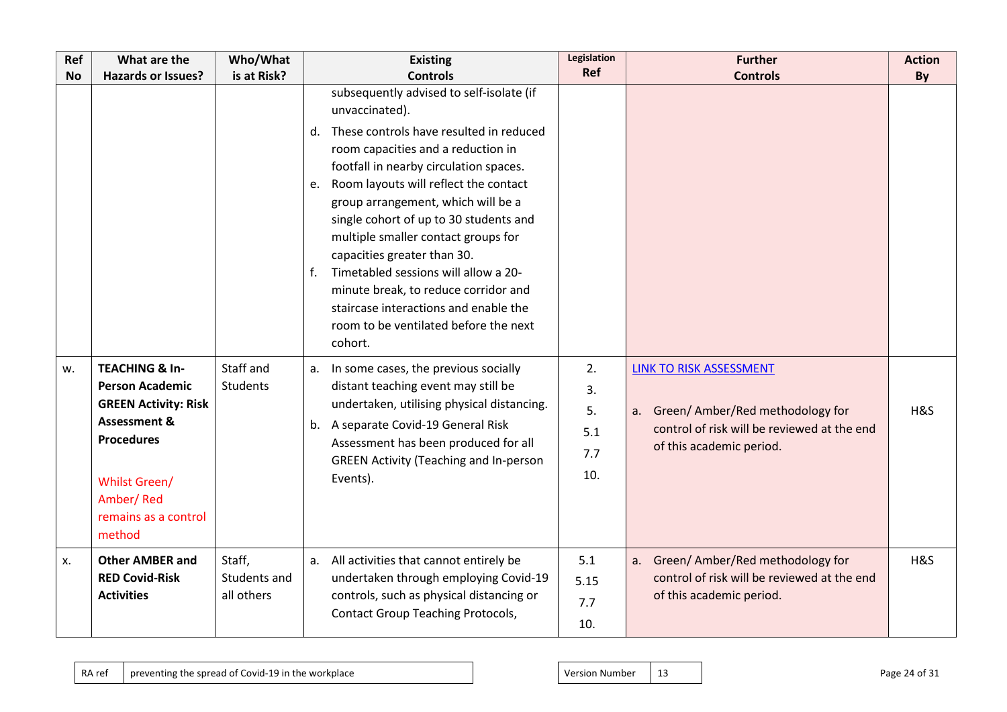| Ref       | What are the                                                                                                                                                                                              | Who/What                             | <b>Existing</b>                                                                                                                                                                                                                                                                                                                                                                                                                                                                                                                                                                     | Legislation                         | <b>Further</b>                                                                                                                           | <b>Action</b> |
|-----------|-----------------------------------------------------------------------------------------------------------------------------------------------------------------------------------------------------------|--------------------------------------|-------------------------------------------------------------------------------------------------------------------------------------------------------------------------------------------------------------------------------------------------------------------------------------------------------------------------------------------------------------------------------------------------------------------------------------------------------------------------------------------------------------------------------------------------------------------------------------|-------------------------------------|------------------------------------------------------------------------------------------------------------------------------------------|---------------|
| <b>No</b> | <b>Hazards or Issues?</b>                                                                                                                                                                                 | is at Risk?                          | <b>Controls</b>                                                                                                                                                                                                                                                                                                                                                                                                                                                                                                                                                                     | Ref                                 | <b>Controls</b>                                                                                                                          | By            |
|           |                                                                                                                                                                                                           |                                      | subsequently advised to self-isolate (if<br>unvaccinated).<br>These controls have resulted in reduced<br>d.<br>room capacities and a reduction in<br>footfall in nearby circulation spaces.<br>Room layouts will reflect the contact<br>e.<br>group arrangement, which will be a<br>single cohort of up to 30 students and<br>multiple smaller contact groups for<br>capacities greater than 30.<br>Timetabled sessions will allow a 20-<br>f.<br>minute break, to reduce corridor and<br>staircase interactions and enable the<br>room to be ventilated before the next<br>cohort. |                                     |                                                                                                                                          |               |
| W.        | <b>TEACHING &amp; In-</b><br><b>Person Academic</b><br><b>GREEN Activity: Risk</b><br><b>Assessment &amp;</b><br><b>Procedures</b><br><b>Whilst Green/</b><br>Amber/Red<br>remains as a control<br>method | Staff and<br>Students                | In some cases, the previous socially<br>a.<br>distant teaching event may still be<br>undertaken, utilising physical distancing.<br>b. A separate Covid-19 General Risk<br>Assessment has been produced for all<br><b>GREEN Activity (Teaching and In-person</b><br>Events).                                                                                                                                                                                                                                                                                                         | 2.<br>3.<br>5.<br>5.1<br>7.7<br>10. | LINK TO RISK ASSESSMENT<br>a. Green/Amber/Red methodology for<br>control of risk will be reviewed at the end<br>of this academic period. | H&S           |
| Х.        | <b>Other AMBER and</b><br><b>RED Covid-Risk</b><br><b>Activities</b>                                                                                                                                      | Staff,<br>Students and<br>all others | All activities that cannot entirely be<br>a.<br>undertaken through employing Covid-19<br>controls, such as physical distancing or<br><b>Contact Group Teaching Protocols,</b>                                                                                                                                                                                                                                                                                                                                                                                                       | 5.1<br>5.15<br>7.7<br>10.           | a. Green/ Amber/Red methodology for<br>control of risk will be reviewed at the end<br>of this academic period.                           | H&S           |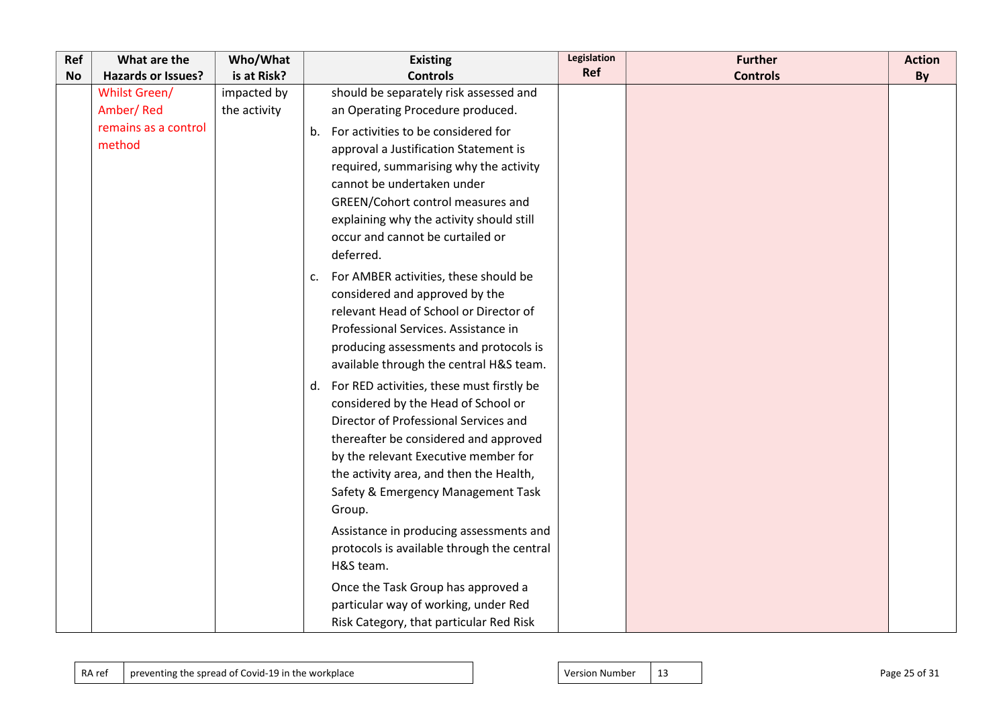| Ref       | What are the              | Who/What     | <b>Existing</b>                                 | Legislation | <b>Further</b>  | <b>Action</b> |
|-----------|---------------------------|--------------|-------------------------------------------------|-------------|-----------------|---------------|
| <b>No</b> | <b>Hazards or Issues?</b> | is at Risk?  | <b>Controls</b>                                 | Ref         | <b>Controls</b> | By            |
|           | <b>Whilst Green/</b>      | impacted by  | should be separately risk assessed and          |             |                 |               |
|           | Amber/Red                 | the activity | an Operating Procedure produced.                |             |                 |               |
|           | remains as a control      |              | For activities to be considered for<br>b.       |             |                 |               |
|           | method                    |              | approval a Justification Statement is           |             |                 |               |
|           |                           |              | required, summarising why the activity          |             |                 |               |
|           |                           |              | cannot be undertaken under                      |             |                 |               |
|           |                           |              | GREEN/Cohort control measures and               |             |                 |               |
|           |                           |              | explaining why the activity should still        |             |                 |               |
|           |                           |              | occur and cannot be curtailed or                |             |                 |               |
|           |                           |              | deferred.                                       |             |                 |               |
|           |                           |              | For AMBER activities, these should be<br>c.     |             |                 |               |
|           |                           |              | considered and approved by the                  |             |                 |               |
|           |                           |              | relevant Head of School or Director of          |             |                 |               |
|           |                           |              | Professional Services. Assistance in            |             |                 |               |
|           |                           |              | producing assessments and protocols is          |             |                 |               |
|           |                           |              | available through the central H&S team.         |             |                 |               |
|           |                           |              | For RED activities, these must firstly be<br>d. |             |                 |               |
|           |                           |              | considered by the Head of School or             |             |                 |               |
|           |                           |              | Director of Professional Services and           |             |                 |               |
|           |                           |              | thereafter be considered and approved           |             |                 |               |
|           |                           |              | by the relevant Executive member for            |             |                 |               |
|           |                           |              | the activity area, and then the Health,         |             |                 |               |
|           |                           |              | Safety & Emergency Management Task              |             |                 |               |
|           |                           |              | Group.                                          |             |                 |               |
|           |                           |              | Assistance in producing assessments and         |             |                 |               |
|           |                           |              | protocols is available through the central      |             |                 |               |
|           |                           |              | H&S team.                                       |             |                 |               |
|           |                           |              | Once the Task Group has approved a              |             |                 |               |
|           |                           |              | particular way of working, under Red            |             |                 |               |
|           |                           |              | Risk Category, that particular Red Risk         |             |                 |               |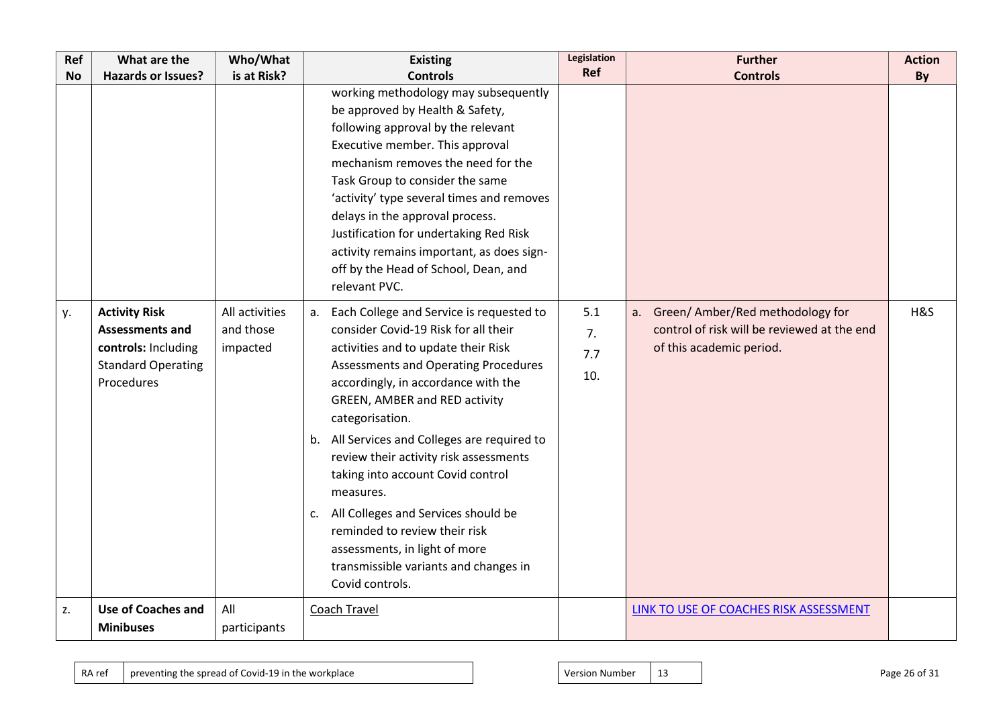| Ref       | What are the                                                                                                     | Who/What                                | <b>Existing</b>                                                                                                                                                                                                                                                                                                                                                                                                                                                                                                                                                                         | Legislation             | <b>Further</b>                                                                                                 | <b>Action</b> |
|-----------|------------------------------------------------------------------------------------------------------------------|-----------------------------------------|-----------------------------------------------------------------------------------------------------------------------------------------------------------------------------------------------------------------------------------------------------------------------------------------------------------------------------------------------------------------------------------------------------------------------------------------------------------------------------------------------------------------------------------------------------------------------------------------|-------------------------|----------------------------------------------------------------------------------------------------------------|---------------|
| <b>No</b> | <b>Hazards or Issues?</b>                                                                                        | is at Risk?                             | <b>Controls</b>                                                                                                                                                                                                                                                                                                                                                                                                                                                                                                                                                                         | Ref                     | <b>Controls</b>                                                                                                | By            |
|           |                                                                                                                  |                                         | working methodology may subsequently<br>be approved by Health & Safety,<br>following approval by the relevant<br>Executive member. This approval<br>mechanism removes the need for the<br>Task Group to consider the same<br>'activity' type several times and removes<br>delays in the approval process.<br>Justification for undertaking Red Risk<br>activity remains important, as does sign-<br>off by the Head of School, Dean, and<br>relevant PVC.                                                                                                                               |                         |                                                                                                                |               |
| у.        | <b>Activity Risk</b><br><b>Assessments and</b><br>controls: Including<br><b>Standard Operating</b><br>Procedures | All activities<br>and those<br>impacted | Each College and Service is requested to<br>a.<br>consider Covid-19 Risk for all their<br>activities and to update their Risk<br>Assessments and Operating Procedures<br>accordingly, in accordance with the<br>GREEN, AMBER and RED activity<br>categorisation.<br>b. All Services and Colleges are required to<br>review their activity risk assessments<br>taking into account Covid control<br>measures.<br>All Colleges and Services should be<br>c.<br>reminded to review their risk<br>assessments, in light of more<br>transmissible variants and changes in<br>Covid controls. | 5.1<br>7.<br>7.7<br>10. | a. Green/ Amber/Red methodology for<br>control of risk will be reviewed at the end<br>of this academic period. | H&S           |
| z.        | <b>Use of Coaches and</b><br><b>Minibuses</b>                                                                    | All<br>participants                     | <b>Coach Travel</b>                                                                                                                                                                                                                                                                                                                                                                                                                                                                                                                                                                     |                         | LINK TO USE OF COACHES RISK ASSESSMENT                                                                         |               |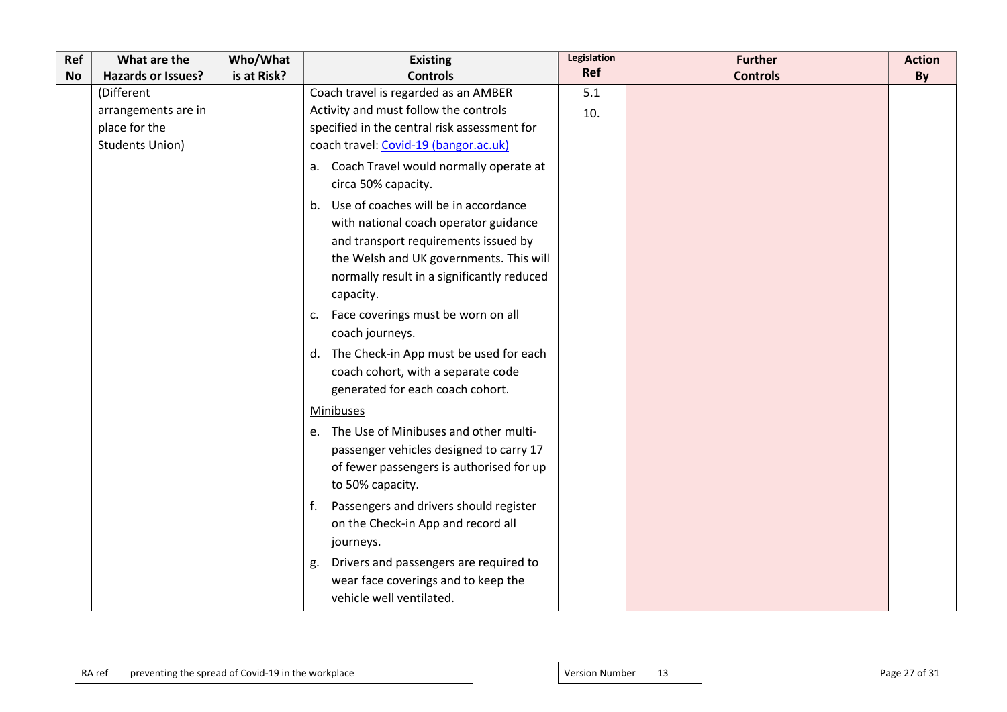| Ref       | What are the              | Who/What    | <b>Existing</b>                              | Legislation<br>Ref | <b>Further</b>  | <b>Action</b> |
|-----------|---------------------------|-------------|----------------------------------------------|--------------------|-----------------|---------------|
| <b>No</b> | <b>Hazards or Issues?</b> | is at Risk? | <b>Controls</b>                              |                    | <b>Controls</b> | By            |
|           | (Different                |             | Coach travel is regarded as an AMBER         | 5.1                |                 |               |
|           | arrangements are in       |             | Activity and must follow the controls        | 10.                |                 |               |
|           | place for the             |             | specified in the central risk assessment for |                    |                 |               |
|           | <b>Students Union)</b>    |             | coach travel: Covid-19 (bangor.ac.uk)        |                    |                 |               |
|           |                           |             | a. Coach Travel would normally operate at    |                    |                 |               |
|           |                           |             | circa 50% capacity.                          |                    |                 |               |
|           |                           |             | b. Use of coaches will be in accordance      |                    |                 |               |
|           |                           |             | with national coach operator guidance        |                    |                 |               |
|           |                           |             | and transport requirements issued by         |                    |                 |               |
|           |                           |             | the Welsh and UK governments. This will      |                    |                 |               |
|           |                           |             | normally result in a significantly reduced   |                    |                 |               |
|           |                           |             | capacity.                                    |                    |                 |               |
|           |                           |             | Face coverings must be worn on all<br>c.     |                    |                 |               |
|           |                           |             | coach journeys.                              |                    |                 |               |
|           |                           |             | d. The Check-in App must be used for each    |                    |                 |               |
|           |                           |             | coach cohort, with a separate code           |                    |                 |               |
|           |                           |             | generated for each coach cohort.             |                    |                 |               |
|           |                           |             | Minibuses                                    |                    |                 |               |
|           |                           |             | e. The Use of Minibuses and other multi-     |                    |                 |               |
|           |                           |             | passenger vehicles designed to carry 17      |                    |                 |               |
|           |                           |             | of fewer passengers is authorised for up     |                    |                 |               |
|           |                           |             | to 50% capacity.                             |                    |                 |               |
|           |                           |             | Passengers and drivers should register<br>f. |                    |                 |               |
|           |                           |             | on the Check-in App and record all           |                    |                 |               |
|           |                           |             | journeys.                                    |                    |                 |               |
|           |                           |             | Drivers and passengers are required to<br>g. |                    |                 |               |
|           |                           |             | wear face coverings and to keep the          |                    |                 |               |
|           |                           |             | vehicle well ventilated.                     |                    |                 |               |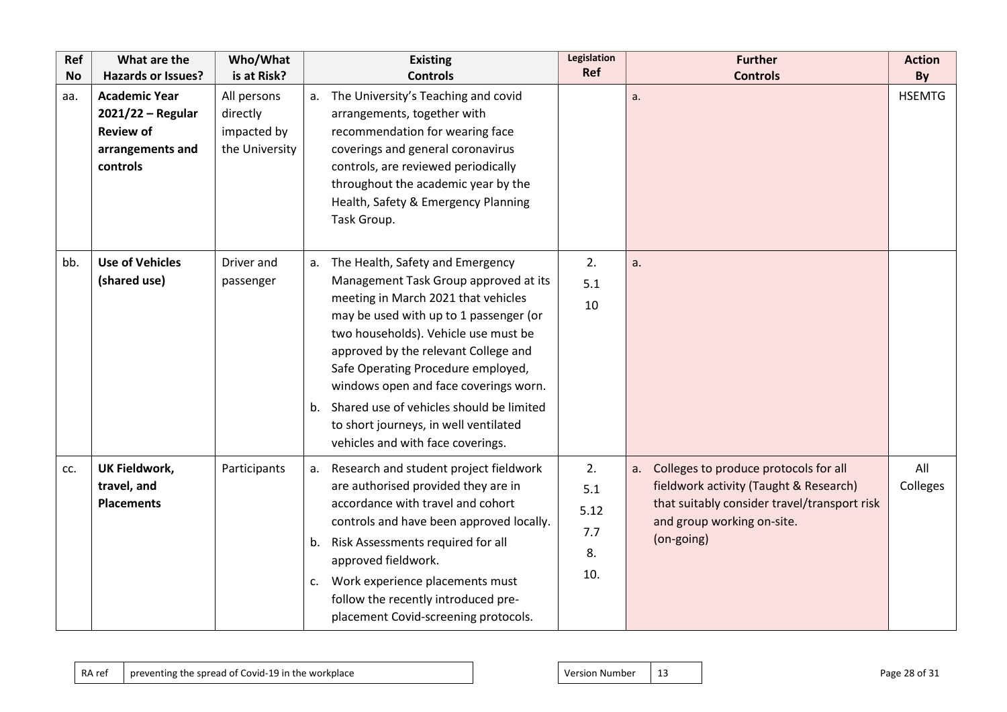| Ref       | What are the                                                                                    | Who/What                                                 | <b>Existing</b>                                                                                                                                                                                                                                                                                                                                                                                                                                        | Legislation<br>Ref                    | <b>Further</b>                                                                                                                                                                    | <b>Action</b>   |
|-----------|-------------------------------------------------------------------------------------------------|----------------------------------------------------------|--------------------------------------------------------------------------------------------------------------------------------------------------------------------------------------------------------------------------------------------------------------------------------------------------------------------------------------------------------------------------------------------------------------------------------------------------------|---------------------------------------|-----------------------------------------------------------------------------------------------------------------------------------------------------------------------------------|-----------------|
| <b>No</b> | <b>Hazards or Issues?</b>                                                                       | is at Risk?                                              | <b>Controls</b>                                                                                                                                                                                                                                                                                                                                                                                                                                        |                                       | <b>Controls</b>                                                                                                                                                                   | By              |
| aa.       | <b>Academic Year</b><br>$2021/22 -$ Regular<br><b>Review of</b><br>arrangements and<br>controls | All persons<br>directly<br>impacted by<br>the University | The University's Teaching and covid<br>arrangements, together with<br>recommendation for wearing face<br>coverings and general coronavirus<br>controls, are reviewed periodically<br>throughout the academic year by the<br>Health, Safety & Emergency Planning<br>Task Group.                                                                                                                                                                         |                                       | a.                                                                                                                                                                                | <b>HSEMTG</b>   |
| bb.       | <b>Use of Vehicles</b><br>(shared use)                                                          | Driver and<br>passenger                                  | The Health, Safety and Emergency<br>Management Task Group approved at its<br>meeting in March 2021 that vehicles<br>may be used with up to 1 passenger (or<br>two households). Vehicle use must be<br>approved by the relevant College and<br>Safe Operating Procedure employed,<br>windows open and face coverings worn.<br>b. Shared use of vehicles should be limited<br>to short journeys, in well ventilated<br>vehicles and with face coverings. | 2.<br>5.1<br>10                       | a.                                                                                                                                                                                |                 |
| CC.       | <b>UK Fieldwork,</b><br>travel, and<br><b>Placements</b>                                        | Participants                                             | Research and student project fieldwork<br>are authorised provided they are in<br>accordance with travel and cohort<br>controls and have been approved locally.<br>Risk Assessments required for all<br>b.<br>approved fieldwork.<br>Work experience placements must<br>c.<br>follow the recently introduced pre-<br>placement Covid-screening protocols.                                                                                               | 2.<br>5.1<br>5.12<br>7.7<br>8.<br>10. | Colleges to produce protocols for all<br>a.<br>fieldwork activity (Taught & Research)<br>that suitably consider travel/transport risk<br>and group working on-site.<br>(on-going) | All<br>Colleges |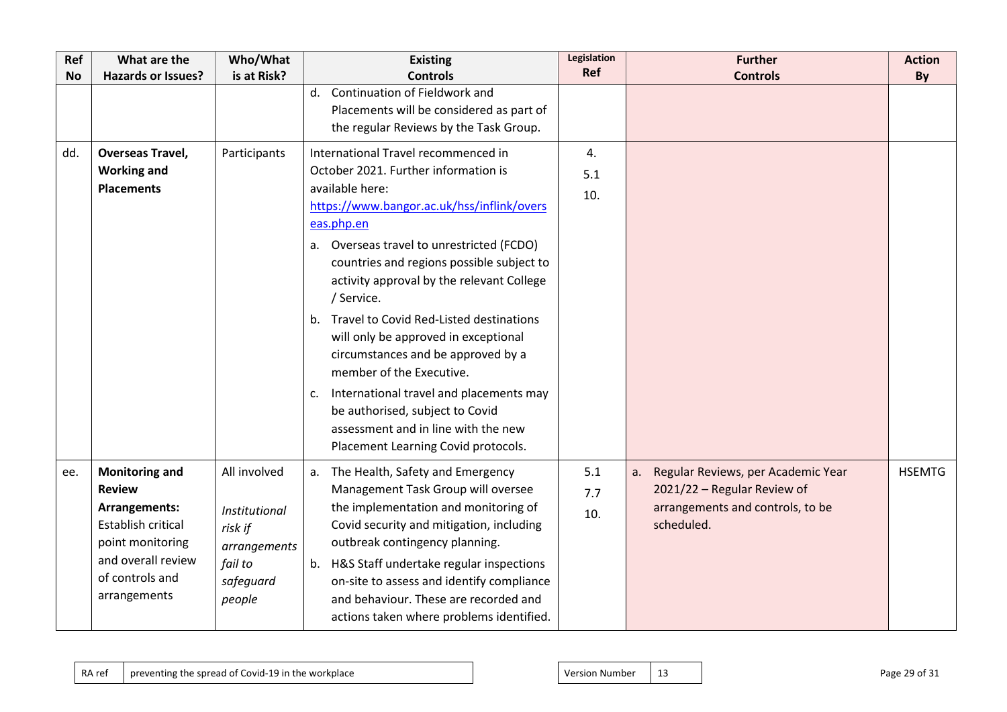| Ref       | What are the                                                                                                                                                      | Who/What                                                                                   | <b>Existing</b>                                                                                                                                                                                                                                                                                                                                                                                                                                                                                                                                                                                                                              | Legislation<br>Ref | <b>Further</b>                                                                                                            | <b>Action</b> |
|-----------|-------------------------------------------------------------------------------------------------------------------------------------------------------------------|--------------------------------------------------------------------------------------------|----------------------------------------------------------------------------------------------------------------------------------------------------------------------------------------------------------------------------------------------------------------------------------------------------------------------------------------------------------------------------------------------------------------------------------------------------------------------------------------------------------------------------------------------------------------------------------------------------------------------------------------------|--------------------|---------------------------------------------------------------------------------------------------------------------------|---------------|
| <b>No</b> | <b>Hazards or Issues?</b>                                                                                                                                         | is at Risk?                                                                                | <b>Controls</b><br>Continuation of Fieldwork and<br>d.<br>Placements will be considered as part of<br>the regular Reviews by the Task Group.                                                                                                                                                                                                                                                                                                                                                                                                                                                                                                 |                    | <b>Controls</b>                                                                                                           | By            |
| dd.       | <b>Overseas Travel,</b><br><b>Working and</b><br><b>Placements</b>                                                                                                | Participants                                                                               | International Travel recommenced in<br>October 2021. Further information is<br>available here:<br>https://www.bangor.ac.uk/hss/inflink/overs<br>eas.php.en<br>a. Overseas travel to unrestricted (FCDO)<br>countries and regions possible subject to<br>activity approval by the relevant College<br>/ Service.<br>Travel to Covid Red-Listed destinations<br>b.<br>will only be approved in exceptional<br>circumstances and be approved by a<br>member of the Executive.<br>International travel and placements may<br>c.<br>be authorised, subject to Covid<br>assessment and in line with the new<br>Placement Learning Covid protocols. | 4.<br>5.1<br>10.   |                                                                                                                           |               |
| ee.       | <b>Monitoring and</b><br><b>Review</b><br>Arrangements:<br><b>Establish critical</b><br>point monitoring<br>and overall review<br>of controls and<br>arrangements | All involved<br>Institutional<br>risk if<br>arrangements<br>fail to<br>safeguard<br>people | a. The Health, Safety and Emergency<br>Management Task Group will oversee<br>the implementation and monitoring of<br>Covid security and mitigation, including<br>outbreak contingency planning.<br>b. H&S Staff undertake regular inspections<br>on-site to assess and identify compliance<br>and behaviour. These are recorded and<br>actions taken where problems identified.                                                                                                                                                                                                                                                              | 5.1<br>7.7<br>10.  | Regular Reviews, per Academic Year<br>а.<br>2021/22 - Regular Review of<br>arrangements and controls, to be<br>scheduled. | <b>HSEMTG</b> |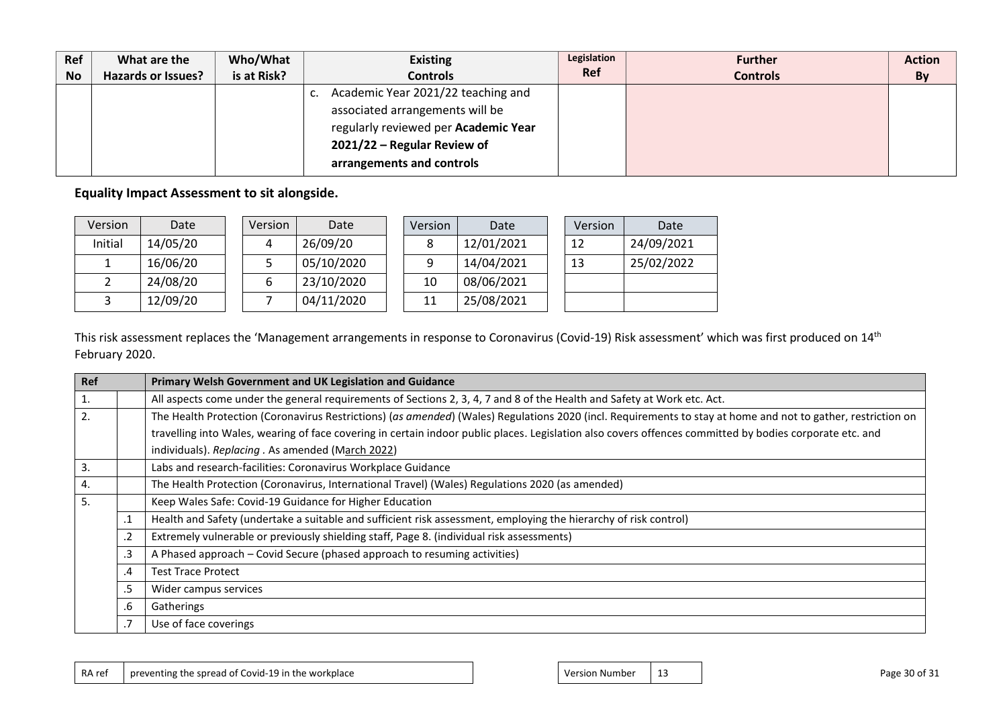| Ref       | What are the              | Who/What    | <b>Existing</b>                          | Legislation | <b>Further</b>  | <b>Action</b> |
|-----------|---------------------------|-------------|------------------------------------------|-------------|-----------------|---------------|
| <b>No</b> | <b>Hazards or Issues?</b> | is at Risk? | <b>Controls</b>                          | <b>Ref</b>  | <b>Controls</b> | By            |
|           |                           |             | Academic Year 2021/22 teaching and<br>ı. |             |                 |               |
|           |                           |             | associated arrangements will be          |             |                 |               |
|           |                           |             | regularly reviewed per Academic Year     |             |                 |               |
|           |                           |             | 2021/22 - Regular Review of              |             |                 |               |
|           |                           |             | arrangements and controls                |             |                 |               |

**Equality Impact Assessment to sit alongside.**

| Version | Date     | <b>Version</b> | Date       | Version | Date       | Version | Date       |
|---------|----------|----------------|------------|---------|------------|---------|------------|
| Initial | 14/05/20 | 4              | 26/09/20   |         | 12/01/2021 | 12      | 24/09/2021 |
|         | 16/06/20 |                | 05/10/2020 |         | 14/04/2021 | 13      | 25/02/2022 |
|         | 24/08/20 |                | 23/10/2020 | 10      | 08/06/2021 |         |            |
|         | 12/09/20 |                | 04/11/2020 | 11      | 25/08/2021 |         |            |

This risk assessment replaces the 'Management arrangements in response to Coronavirus (Covid-19) Risk assessment' which was first produced on 14<sup>th</sup> February 2020.

| Ref |         | Primary Welsh Government and UK Legislation and Guidance                                                                                                     |
|-----|---------|--------------------------------------------------------------------------------------------------------------------------------------------------------------|
| 1.  |         | All aspects come under the general requirements of Sections 2, 3, 4, 7 and 8 of the Health and Safety at Work etc. Act.                                      |
| 2.  |         | The Health Protection (Coronavirus Restrictions) (as amended) (Wales) Regulations 2020 (incl. Requirements to stay at home and not to gather, restriction on |
|     |         | travelling into Wales, wearing of face covering in certain indoor public places. Legislation also covers offences committed by bodies corporate etc. and     |
|     |         | individuals). Replacing . As amended (March 2022)                                                                                                            |
| 3.  |         | Labs and research-facilities: Coronavirus Workplace Guidance                                                                                                 |
| 4.  |         | The Health Protection (Coronavirus, International Travel) (Wales) Regulations 2020 (as amended)                                                              |
| 5.  |         | Keep Wales Safe: Covid-19 Guidance for Higher Education                                                                                                      |
|     | $\cdot$ | Health and Safety (undertake a suitable and sufficient risk assessment, employing the hierarchy of risk control)                                             |
|     | .2      | Extremely vulnerable or previously shielding staff, Page 8. (individual risk assessments)                                                                    |
|     | .3      | A Phased approach – Covid Secure (phased approach to resuming activities)                                                                                    |
|     | .4      | <b>Test Trace Protect</b>                                                                                                                                    |
|     | .5      | Wider campus services                                                                                                                                        |
|     | .6      | Gatherings                                                                                                                                                   |
|     | .7      | Use of face coverings                                                                                                                                        |